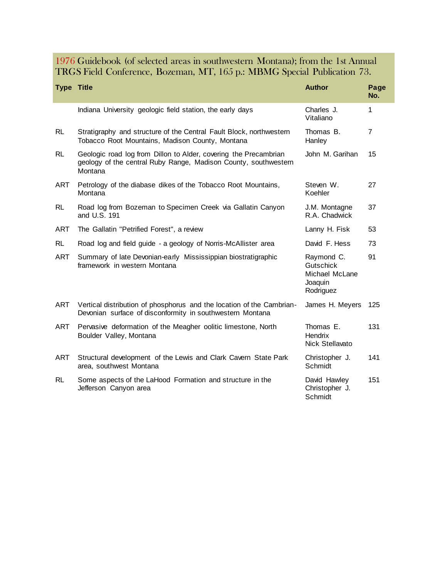1976 Guidebook (of selected areas in southwestern Montana); from the 1st Annual TRGS Field Conference, Bozeman, MT, 165 p.: MBMG Special Publication 73.

| <b>Type Title</b> |                                                                                                                                                | <b>Author</b>                                                     | Page<br>No.    |
|-------------------|------------------------------------------------------------------------------------------------------------------------------------------------|-------------------------------------------------------------------|----------------|
|                   | Indiana University geologic field station, the early days                                                                                      | Charles J.<br>Vitaliano                                           | $\mathbf{1}$   |
| <b>RL</b>         | Stratigraphy and structure of the Central Fault Block, northwestern<br>Tobacco Root Mountains, Madison County, Montana                         | Thomas B.<br>Hanley                                               | $\overline{7}$ |
| <b>RL</b>         | Geologic road log from Dillon to Alder, covering the Precambrian<br>geology of the central Ruby Range, Madison County, southwestern<br>Montana | John M. Garihan                                                   | 15             |
| <b>ART</b>        | Petrology of the diabase dikes of the Tobacco Root Mountains,<br>Montana                                                                       | Steven W.<br>Koehler                                              | 27             |
| <b>RL</b>         | Road log from Bozeman to Specimen Creek via Gallatin Canyon<br>and U.S. 191                                                                    | J.M. Montagne<br>R.A. Chadwick                                    | 37             |
| <b>ART</b>        | The Gallatin "Petrified Forest", a review                                                                                                      | Lanny H. Fisk                                                     | 53             |
| <b>RL</b>         | Road log and field guide - a geology of Norris-McAllister area                                                                                 | David F. Hess                                                     | 73             |
| <b>ART</b>        | Summary of late Devonian-early Mississippian biostratigraphic<br>framework in western Montana                                                  | Raymond C.<br>Gutschick<br>Michael McLane<br>Joaquin<br>Rodriguez | 91             |
| ART               | Vertical distribution of phosphorus and the location of the Cambrian-<br>Devonian surface of disconformity in southwestern Montana             | James H. Meyers                                                   | 125            |
| ART               | Pervasive deformation of the Meagher oolitic limestone, North<br>Boulder Valley, Montana                                                       | Thomas E.<br>Hendrix<br>Nick Stellavato                           | 131            |
| <b>ART</b>        | Structural development of the Lewis and Clark Cavern State Park<br>area, southwest Montana                                                     | Christopher J.<br>Schmidt                                         | 141            |
| <b>RL</b>         | Some aspects of the LaHood Formation and structure in the<br>Jefferson Canyon area                                                             | David Hawley<br>Christopher J.<br>Schmidt                         | 151            |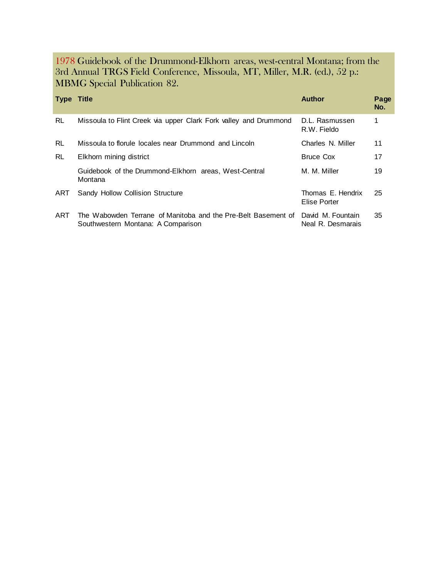1978 Guidebook of the Drummond-Elkhorn areas, west-central Montana; from the 3rd Annual TRGS Field Conference, Missoula, MT, Miller, M.R. (ed.), 52 p.: MBMG Special Publication 82.

| <b>Type Title</b> |                                                                                                     | <b>Author</b>                          | Page<br>No. |
|-------------------|-----------------------------------------------------------------------------------------------------|----------------------------------------|-------------|
| <b>RL</b>         | Missoula to Flint Creek via upper Clark Fork valley and Drummond                                    | D.L. Rasmussen<br>R.W. Fieldo          | 1.          |
| <b>RL</b>         | Missoula to florule locales near Drummond and Lincoln                                               | Charles N. Miller                      | 11          |
| <b>RL</b>         | Elkhorn mining district                                                                             | <b>Bruce Cox</b>                       | 17          |
|                   | Guidebook of the Drummond-Elkhorn areas, West-Central<br>Montana                                    | M. M. Miller                           | 19          |
| ART               | Sandy Hollow Collision Structure                                                                    | Thomas E. Hendrix<br>Elise Porter      | 25          |
| ART               | The Wabowden Terrane of Manitoba and the Pre-Belt Basement of<br>Southwestern Montana: A Comparison | David M. Fountain<br>Neal R. Desmarais | 35          |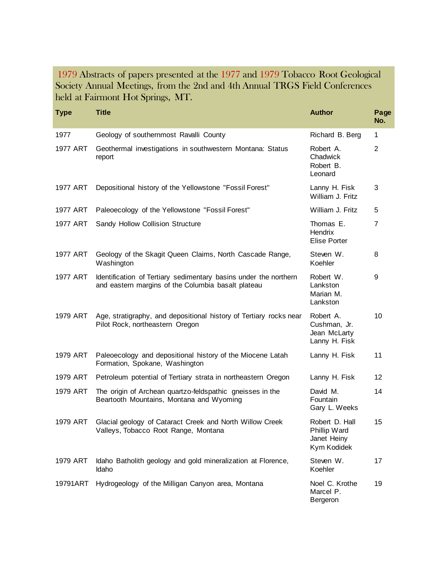1979 Abstracts of papers presented at the 1977 and 1979 Tobacco Root Geological Society Annual Meetings, from the 2nd and 4th Annual TRGS Field Conferences held at Fairmont Hot Springs, MT.

| <b>Type</b> | <b>Title</b>                                                                                                           | <b>Author</b>                                                | Page<br>No.    |
|-------------|------------------------------------------------------------------------------------------------------------------------|--------------------------------------------------------------|----------------|
| 1977        | Geology of southernmost Ravalli County                                                                                 | Richard B. Berg                                              | 1              |
| 1977 ART    | Geothermal investigations in southwestern Montana: Status<br>report                                                    | Robert A.<br>Chadwick<br>Robert B.<br>Leonard                | $\overline{2}$ |
| 1977 ART    | Depositional history of the Yellowstone "Fossil Forest"                                                                | Lanny H. Fisk<br>William J. Fritz                            | 3              |
| 1977 ART    | Paleoecology of the Yellowstone "Fossil Forest"                                                                        | William J. Fritz                                             | 5              |
| 1977 ART    | Sandy Hollow Collision Structure                                                                                       | Thomas E.<br>Hendrix<br>Elise Porter                         | 7              |
| 1977 ART    | Geology of the Skagit Queen Claims, North Cascade Range,<br>Washington                                                 | Steven W.<br>Koehler                                         | 8              |
| 1977 ART    | Identification of Tertiary sedimentary basins under the northern<br>and eastern margins of the Columbia basalt plateau | Robert W.<br>Lankston<br>Marian M.<br>Lankston               | 9              |
| 1979 ART    | Age, stratigraphy, and depositional history of Tertiary rocks near<br>Pilot Rock, northeastern Oregon                  | Robert A.<br>Cushman, Jr.<br>Jean McLarty<br>Lanny H. Fisk   | 10             |
| 1979 ART    | Paleoecology and depositional history of the Miocene Latah<br>Formation, Spokane, Washington                           | Lanny H. Fisk                                                | 11             |
| 1979 ART    | Petroleum potential of Tertiary strata in northeastern Oregon                                                          | Lanny H. Fisk                                                | 12             |
| 1979 ART    | The origin of Archean quartzo-feldspathic gneisses in the<br>Beartooth Mountains, Montana and Wyoming                  | David M.<br>Fountain<br>Gary L. Weeks                        | 14             |
| 1979 ART    | Glacial geology of Cataract Creek and North Willow Creek<br>Valleys, Tobacco Root Range, Montana                       | Robert D. Hall<br>Phillip Ward<br>Janet Heiny<br>Kym Kodidek | 15             |
| 1979 ART    | Idaho Batholith geology and gold mineralization at Florence,<br>Idaho                                                  | Steven W.<br>Koehler                                         | 17             |
| 19791ART    | Hydrogeology of the Milligan Canyon area, Montana                                                                      | Noel C. Krothe<br>Marcel P.<br>Bergeron                      | 19             |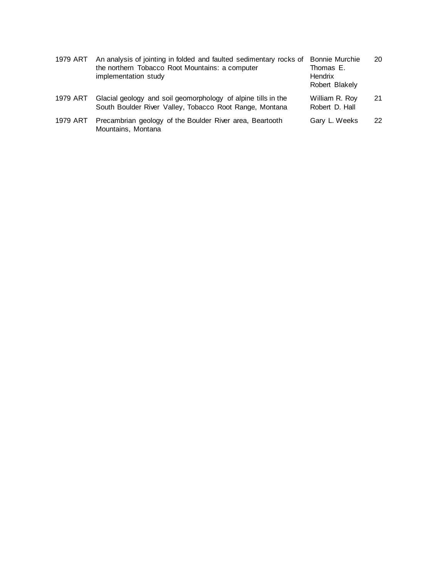| 1979 ART | An analysis of jointing in folded and faulted sedimentary rocks of<br>the northern Tobacco Root Mountains: a computer<br>implementation study | <b>Bonnie Murchie</b><br>Thomas E.<br>Hendrix<br>Robert Blakely | 20 |
|----------|-----------------------------------------------------------------------------------------------------------------------------------------------|-----------------------------------------------------------------|----|
| 1979 ART | Glacial geology and soil geomorphology of alpine tills in the<br>South Boulder River Valley, Tobacco Root Range, Montana                      | William R. Roy<br>Robert D. Hall                                | 21 |
| 1979 ART | Precambrian geology of the Boulder River area, Beartooth<br>Mountains, Montana                                                                | Gary L. Weeks                                                   | 22 |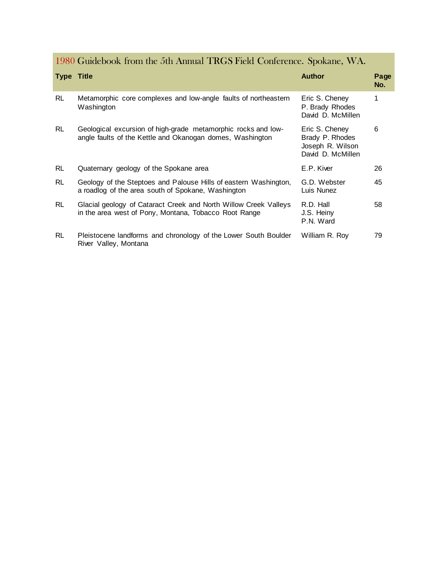1980 Guidebook from the 5th Annual TRGS Field Conference. Spokane, WA.

| <b>Type Title</b> |                                                                                                                            | <b>Author</b>                                                              | Page<br>No. |
|-------------------|----------------------------------------------------------------------------------------------------------------------------|----------------------------------------------------------------------------|-------------|
| <b>RL</b>         | Metamorphic core complexes and low-angle faults of northeastern<br>Washington                                              | Eric S. Cheney<br>P. Brady Rhodes<br>David D. McMillen                     | 1           |
| <b>RL</b>         | Geological excursion of high-grade metamorphic rocks and low-<br>angle faults of the Kettle and Okanogan domes, Washington | Eric S. Cheney<br>Brady P. Rhodes<br>Joseph R. Wilson<br>David D. McMillen | 6           |
| <b>RL</b>         | Quaternary geology of the Spokane area                                                                                     | E.P. Kiver                                                                 | 26          |
| <b>RL</b>         | Geology of the Steptoes and Palouse Hills of eastern Washington,<br>a roadlog of the area south of Spokane, Washington     | G.D. Webster<br>Luis Nunez                                                 | 45          |
| <b>RL</b>         | Glacial geology of Cataract Creek and North Willow Creek Valleys<br>in the area west of Pony, Montana, Tobacco Root Range  | R.D. Hall<br>J.S. Heiny<br>P.N. Ward                                       | 58          |
| <b>RL</b>         | Pleistocene landforms and chronology of the Lower South Boulder<br>River Valley, Montana                                   | William R. Roy                                                             | 79          |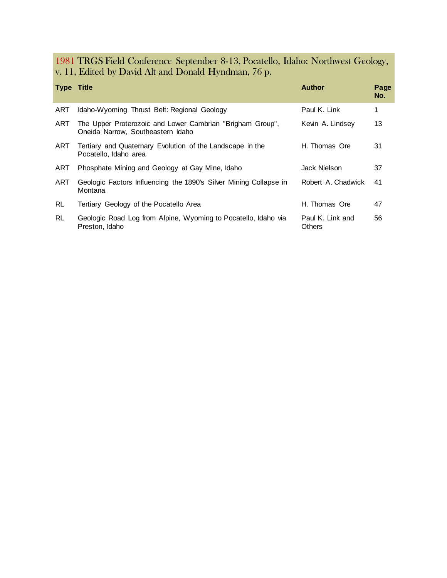1981 TRGS Field Conference September 8-13, Pocatello, Idaho: Northwest Geology, v. 11, Edited by David Alt and Donald Hyndman, 76 p.

| <b>Type Title</b> |                                                                                                | <b>Author</b>                     | Page<br>No. |
|-------------------|------------------------------------------------------------------------------------------------|-----------------------------------|-------------|
| ART               | Idaho-Wyoming Thrust Belt: Regional Geology                                                    | Paul K. Link                      | 1           |
| ART               | The Upper Proterozoic and Lower Cambrian "Brigham Group",<br>Oneida Narrow, Southeastern Idaho | Kevin A. Lindsey                  | 13          |
| ART               | Tertiary and Quaternary Evolution of the Landscape in the<br>Pocatello, Idaho area             | H. Thomas Ore                     | 31          |
| ART               | Phosphate Mining and Geology at Gay Mine, Idaho                                                | Jack Nielson.                     | 37          |
| ART               | Geologic Factors Influencing the 1890's Silver Mining Collapse in<br>Montana                   | Robert A. Chadwick                | 41          |
| RL.               | Tertiary Geology of the Pocatello Area                                                         | H. Thomas Ore                     | 47          |
| RL.               | Geologic Road Log from Alpine, Wyoming to Pocatello, Idaho via<br>Preston, Idaho               | Paul K. Link and<br><b>Others</b> | 56          |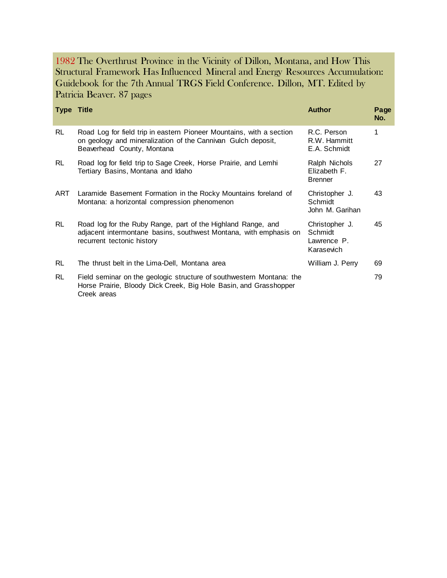1982 The Overthrust Province in the Vicinity of Dillon, Montana, and How This Structural Framework Has Influenced Mineral and Energy Resources Accumulation: Guidebook for the 7th Annual TRGS Field Conference. Dillon, MT. Edited by Patricia Beaver. 87 pages

| <b>Type Title</b> |                                                                                                                                                                    | <b>Author</b>                                          | Page<br>No. |
|-------------------|--------------------------------------------------------------------------------------------------------------------------------------------------------------------|--------------------------------------------------------|-------------|
| <b>RL</b>         | Road Log for field trip in eastern Pioneer Mountains, with a section<br>on geology and mineralization of the Cannivan Gulch deposit,<br>Beaverhead County, Montana | R.C. Person<br>R.W. Hammitt<br>E.A. Schmidt            | 1           |
| <b>RL</b>         | Road log for field trip to Sage Creek, Horse Prairie, and Lemhi<br>Tertiary Basins, Montana and Idaho                                                              | Ralph Nichols<br>Elizabeth F.<br><b>Brenner</b>        | 27          |
| ART               | Laramide Basement Formation in the Rocky Mountains foreland of<br>Montana: a horizontal compression phenomenon                                                     | Christopher J.<br>Schmidt<br>John M. Garihan           | 43          |
| <b>RL</b>         | Road log for the Ruby Range, part of the Highland Range, and<br>adjacent intermontane basins, southwest Montana, with emphasis on<br>recurrent tectonic history    | Christopher J.<br>Schmidt<br>Lawrence P.<br>Karasevich | 45          |
| RL                | The thrust belt in the Lima-Dell, Montana area                                                                                                                     | William J. Perry                                       | 69          |
| <b>RL</b>         | Field seminar on the geologic structure of southwestern Montana: the<br>Horse Prairie, Bloody Dick Creek, Big Hole Basin, and Grasshopper<br>Creek areas           |                                                        | 79          |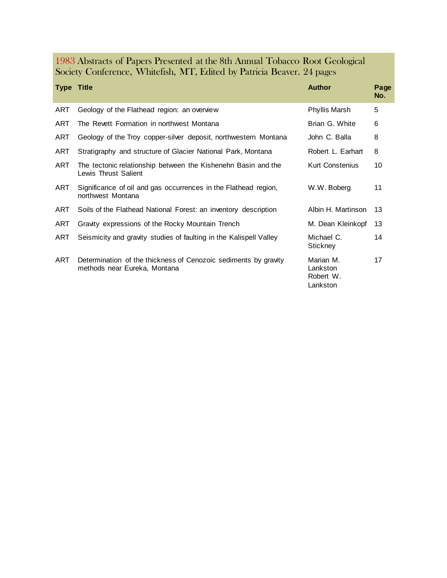| 1983 Abstracts of Papers Presented at the 8th Annual Tobacco Root Geological |  |  |  |
|------------------------------------------------------------------------------|--|--|--|
| Society Conference, Whitefish, MT, Edited by Patricia Beaver. 24 pages       |  |  |  |

| <b>Type Title</b> |                                                                                                 | <b>Author</b>                                  | Page<br>No. |
|-------------------|-------------------------------------------------------------------------------------------------|------------------------------------------------|-------------|
| ART               | Geology of the Flathead region: an overview                                                     | Phyllis Marsh                                  | 5           |
| ART               | The Revett Formation in northwest Montana                                                       | Brian G. White                                 | 6           |
| ART               | Geology of the Troy copper-silver deposit, northwestern Montana                                 | John C. Balla                                  | 8           |
| ART               | Stratigraphy and structure of Glacier National Park, Montana                                    | Robert L. Earhart                              | 8           |
| ART               | The tectonic relationship between the Kishenehn Basin and the<br>Lewis Thrust Salient           | <b>Kurt Constenius</b>                         | 10          |
| ART               | Significance of oil and gas occurrences in the Flathead region,<br>northwest Montana            | W.W. Boberg                                    | 11          |
| ART               | Soils of the Flathead National Forest: an inventory description                                 | Albin H. Martinson                             | 13          |
| ART               | Gravity expressions of the Rocky Mountain Trench                                                | M. Dean Kleinkopf                              | 13          |
| ART               | Seismicity and gravity studies of faulting in the Kalispell Valley                              | Michael C.<br>Stickney                         | 14          |
| ART               | Determination of the thickness of Cenozoic sediments by gravity<br>methods near Eureka, Montana | Marian M.<br>Lankston<br>Robert W.<br>Lankston | 17          |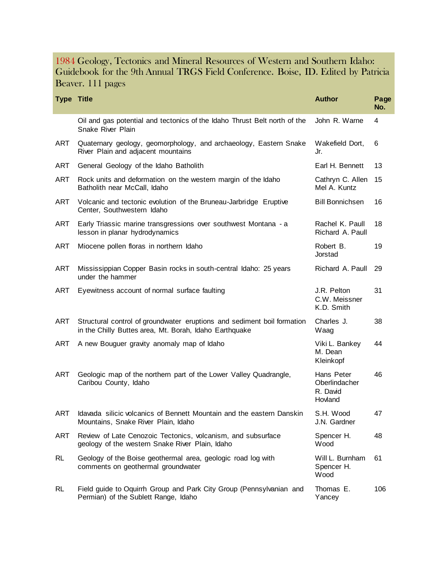#### 1984 Geology, Tectonics and Mineral Resources of Western and Southern Idaho: Guidebook for the 9th Annual TRGS Field Conference. Boise, ID. Edited by Patricia Beaver. 111 pages

| <b>Type Title</b> |                                                                                                                                   | <b>Author</b>                                      | Page<br>No. |
|-------------------|-----------------------------------------------------------------------------------------------------------------------------------|----------------------------------------------------|-------------|
|                   | Oil and gas potential and tectonics of the Idaho Thrust Belt north of the<br>Snake River Plain                                    | John R. Warne                                      | 4           |
| ART               | Quaternary geology, geomorphology, and archaeology, Eastern Snake<br>River Plain and adjacent mountains                           | Wakefield Dort,<br>Jr.                             | 6           |
| ART               | General Geology of the Idaho Batholith                                                                                            | Earl H. Bennett                                    | 13          |
| <b>ART</b>        | Rock units and deformation on the western margin of the Idaho<br>Batholith near McCall, Idaho                                     | Cathryn C. Allen<br>Mel A. Kuntz                   | 15          |
| ART               | Volcanic and tectonic evolution of the Bruneau-Jarbridge Eruptive<br>Center, Southwestern Idaho                                   | <b>Bill Bonnichsen</b>                             | 16          |
| <b>ART</b>        | Early Triassic marine transgressions over southwest Montana - a<br>lesson in planar hydrodynamics                                 | Rachel K. Paull<br>Richard A. Paull                | 18          |
| <b>ART</b>        | Miocene pollen floras in northern Idaho                                                                                           | Robert B.<br>Jorstad                               | 19          |
| <b>ART</b>        | Mississippian Copper Basin rocks in south-central Idaho: 25 years<br>under the hammer                                             | Richard A. Paull                                   | 29          |
| <b>ART</b>        | Eyewitness account of normal surface faulting                                                                                     | J.R. Pelton<br>C.W. Meissner<br>K.D. Smith         | 31          |
| <b>ART</b>        | Structural control of groundwater eruptions and sediment boil formation<br>in the Chilly Buttes area, Mt. Borah, Idaho Earthquake | Charles J.<br>Waag                                 | 38          |
| <b>ART</b>        | A new Bouguer gravity anomaly map of Idaho                                                                                        | Viki L. Bankey<br>M. Dean<br>Kleinkopf             | 44          |
| <b>ART</b>        | Geologic map of the northern part of the Lower Valley Quadrangle,<br>Caribou County, Idaho                                        | Hans Peter<br>Oberlindacher<br>R. David<br>Hovland | 46          |
| <b>ART</b>        | Idavada silicic volcanics of Bennett Mountain and the eastern Danskin<br>Mountains, Snake River Plain, Idaho                      | S.H. Wood<br>J.N. Gardner                          | 47          |
| ART               | Review of Late Cenozoic Tectonics, volcanism, and subsurface<br>geology of the western Snake River Plain, Idaho                   | Spencer H.<br>Wood                                 | 48          |
| <b>RL</b>         | Geology of the Boise geothermal area, geologic road log with<br>comments on geothermal groundwater                                | Will L. Burnham<br>Spencer H.<br>Wood              | 61          |
| RL.               | Field guide to Oquirrh Group and Park City Group (Pennsylvanian and<br>Permian) of the Sublett Range, Idaho                       | Thomas E.<br>Yancey                                | 106         |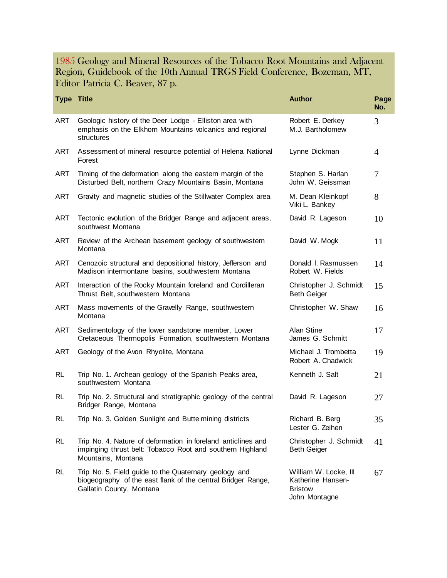#### 1985 Geology and Mineral Resources of the Tobacco Root Mountains and Adjacent Region, Guidebook of the 10th Annual TRGS Field Conference, Bozeman, MT, Editor Patricia C. Beaver, 87 p.

| <b>Type Title</b> |                                                                                                                                                   | <b>Author</b>                                                                 | Page<br>No.    |
|-------------------|---------------------------------------------------------------------------------------------------------------------------------------------------|-------------------------------------------------------------------------------|----------------|
| <b>ART</b>        | Geologic history of the Deer Lodge - Elliston area with<br>emphasis on the Elkhorn Mountains volcanics and regional<br>structures                 | Robert E. Derkey<br>M.J. Bartholomew                                          | 3              |
| ART               | Assessment of mineral resource potential of Helena National<br>Forest                                                                             | Lynne Dickman                                                                 | $\overline{4}$ |
| ART               | Timing of the deformation along the eastern margin of the<br>Disturbed Belt, northern Crazy Mountains Basin, Montana                              | Stephen S. Harlan<br>John W. Geissman                                         | 7              |
| ART               | Gravity and magnetic studies of the Stillwater Complex area                                                                                       | M. Dean Kleinkopf<br>Viki L. Bankey                                           | 8              |
| ART               | Tectonic evolution of the Bridger Range and adjacent areas,<br>southwest Montana                                                                  | David R. Lageson                                                              | 10             |
| ART               | Review of the Archean basement geology of southwestern<br>Montana                                                                                 | David W. Mogk                                                                 | 11             |
| ART               | Cenozoic structural and depositional history, Jefferson and<br>Madison intermontane basins, southwestern Montana                                  | Donald I. Rasmussen<br>Robert W. Fields                                       | 14             |
| ART               | Interaction of the Rocky Mountain foreland and Cordilleran<br>Thrust Belt, southwestern Montana                                                   | Christopher J. Schmidt<br><b>Beth Geiger</b>                                  | 15             |
| <b>ART</b>        | Mass movements of the Gravelly Range, southwestern<br>Montana                                                                                     | Christopher W. Shaw                                                           | 16             |
| <b>ART</b>        | Sedimentology of the lower sandstone member, Lower<br>Cretaceous Thermopolis Formation, southwestern Montana                                      | Alan Stine<br>James G. Schmitt                                                | 17             |
| <b>ART</b>        | Geology of the Avon Rhyolite, Montana                                                                                                             | Michael J. Trombetta<br>Robert A. Chadwick                                    | 19             |
| RL.               | Trip No. 1. Archean geology of the Spanish Peaks area,<br>southwestern Montana                                                                    | Kenneth J. Salt                                                               | 21             |
| RL                | Trip No. 2. Structural and stratigraphic geology of the central<br>Bridger Range, Montana                                                         | David R. Lageson                                                              | 27             |
| RL                | Trip No. 3. Golden Sunlight and Butte mining districts                                                                                            | Richard B. Berg<br>Lester G. Zeihen                                           | 35             |
| <b>RL</b>         | Trip No. 4. Nature of deformation in foreland anticlines and<br>impinging thrust belt: Tobacco Root and southern Highland<br>Mountains, Montana   | Christopher J. Schmidt<br><b>Beth Geiger</b>                                  | 41             |
| <b>RL</b>         | Trip No. 5. Field guide to the Quaternary geology and<br>biogeography of the east flank of the central Bridger Range,<br>Gallatin County, Montana | William W. Locke, III<br>Katherine Hansen-<br><b>Bristow</b><br>John Montagne | 67             |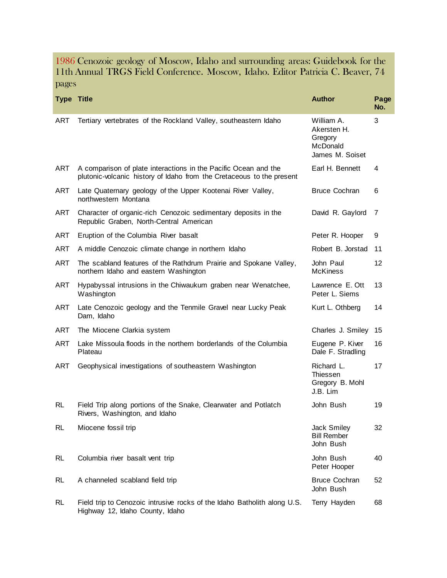1986 Cenozoic geology of Moscow, Idaho and surrounding areas: Guidebook for the 11th Annual TRGS Field Conference. Moscow, Idaho. Editor Patricia C. Beaver, 74 pages

| <b>Type Title</b> |                                                                                                                                          | <b>Author</b>                                                       | Page<br>No. |
|-------------------|------------------------------------------------------------------------------------------------------------------------------------------|---------------------------------------------------------------------|-------------|
| <b>ART</b>        | Tertiary vertebrates of the Rockland Valley, southeastern Idaho                                                                          | William A.<br>Akersten H.<br>Gregory<br>McDonald<br>James M. Soiset | 3           |
| <b>ART</b>        | A comparison of plate interactions in the Pacific Ocean and the<br>plutonic-volcanic history of Idaho from the Cretaceous to the present | Earl H. Bennett                                                     | 4           |
| ART               | Late Quaternary geology of the Upper Kootenai River Valley,<br>northwestern Montana                                                      | <b>Bruce Cochran</b>                                                | 6           |
| ART               | Character of organic-rich Cenozoic sedimentary deposits in the<br>Republic Graben, North-Central American                                | David R. Gaylord                                                    | 7           |
| <b>ART</b>        | Eruption of the Columbia River basalt                                                                                                    | Peter R. Hooper                                                     | 9           |
| <b>ART</b>        | A middle Cenozoic climate change in northern Idaho                                                                                       | Robert B. Jorstad                                                   | 11          |
| ART               | The scabland features of the Rathdrum Prairie and Spokane Valley,<br>northern Idaho and eastern Washington                               | John Paul<br><b>McKiness</b>                                        | 12          |
| ART               | Hypabyssal intrusions in the Chiwaukum graben near Wenatchee,<br>Washington                                                              | Lawrence E. Ott<br>Peter L. Siems                                   | 13          |
| ART               | Late Cenozoic geology and the Tenmile Gravel near Lucky Peak<br>Dam, Idaho                                                               | Kurt L. Othberg                                                     | 14          |
| ART               | The Miocene Clarkia system                                                                                                               | Charles J. Smiley                                                   | 15          |
| ART               | Lake Missoula floods in the northern borderlands of the Columbia<br>Plateau                                                              | Eugene P. Kiver<br>Dale F. Stradling                                | 16          |
| <b>ART</b>        | Geophysical investigations of southeastern Washington                                                                                    | Richard L.<br>Thiessen<br>Gregory B. Mohl<br>J.B. Lim               | 17          |
| <b>RL</b>         | Field Trip along portions of the Snake, Clearwater and Potlatch<br>Rivers, Washington, and Idaho                                         | John Bush                                                           | 19          |
| RL                | Miocene fossil trip                                                                                                                      | Jack Smiley<br><b>Bill Rember</b><br>John Bush                      | 32          |
| <b>RL</b>         | Columbia river basalt vent trip                                                                                                          | John Bush<br>Peter Hooper                                           | 40          |
| <b>RL</b>         | A channeled scabland field trip                                                                                                          | <b>Bruce Cochran</b><br>John Bush                                   | 52          |
| <b>RL</b>         | Field trip to Cenozoic intrusive rocks of the Idaho Batholith along U.S.<br>Highway 12, Idaho County, Idaho                              | Terry Hayden                                                        | 68          |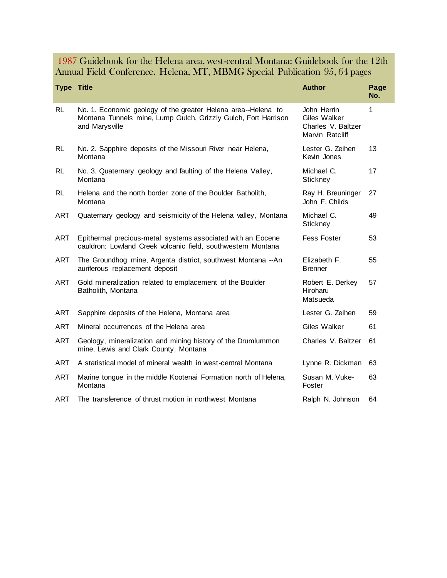### 1987 Guidebook for the Helena area, west-central Montana: Guidebook for the 12th Annual Field Conference. Helena, MT, MBMG Special Publication 95, 64 pages

| <b>Type Title</b> |                                                                                                                                                   | <b>Author</b>                                                        | Page<br>No. |
|-------------------|---------------------------------------------------------------------------------------------------------------------------------------------------|----------------------------------------------------------------------|-------------|
| RL.               | No. 1. Economic geology of the greater Helena area--Helena to<br>Montana Tunnels mine, Lump Gulch, Grizzly Gulch, Fort Harrison<br>and Marysville | John Herrin<br>Giles Walker<br>Charles V. Baltzer<br>Marvin Ratcliff | 1           |
| <b>RL</b>         | No. 2. Sapphire deposits of the Missouri River near Helena,<br>Montana                                                                            | Lester G. Zeihen<br>Kevin Jones                                      | 13          |
| <b>RL</b>         | No. 3. Quaternary geology and faulting of the Helena Valley,<br>Montana                                                                           | Michael C.<br>Stickney                                               | 17          |
| RL                | Helena and the north border zone of the Boulder Batholith,<br>Montana                                                                             | Ray H. Breuninger<br>John F. Childs                                  | 27          |
| ART               | Quaternary geology and seismicity of the Helena valley, Montana                                                                                   | Michael C.<br>Stickney                                               | 49          |
| ART               | Epithermal precious-metal systems associated with an Eocene<br>cauldron: Lowland Creek volcanic field, southwestern Montana                       | <b>Fess Foster</b>                                                   | 53          |
| ART               | The Groundhog mine, Argenta district, southwest Montana -- An<br>auriferous replacement deposit                                                   | Elizabeth F.<br><b>Brenner</b>                                       | 55          |
| <b>ART</b>        | Gold mineralization related to emplacement of the Boulder<br>Batholith, Montana                                                                   | Robert E. Derkey<br>Hiroharu<br>Matsueda                             | 57          |
| <b>ART</b>        | Sapphire deposits of the Helena, Montana area                                                                                                     | Lester G. Zeihen                                                     | 59          |
| ART               | Mineral occurrences of the Helena area                                                                                                            | Giles Walker                                                         | 61          |
| <b>ART</b>        | Geology, mineralization and mining history of the Drumlummon<br>mine, Lewis and Clark County, Montana                                             | Charles V. Baltzer                                                   | 61          |
| <b>ART</b>        | A statistical model of mineral wealth in west-central Montana                                                                                     | Lynne R. Dickman                                                     | 63          |
| ART               | Marine tongue in the middle Kootenai Formation north of Helena,<br>Montana                                                                        | Susan M. Vuke-<br>Foster                                             | 63          |
| ART               | The transference of thrust motion in northwest Montana                                                                                            | Ralph N. Johnson                                                     | 64          |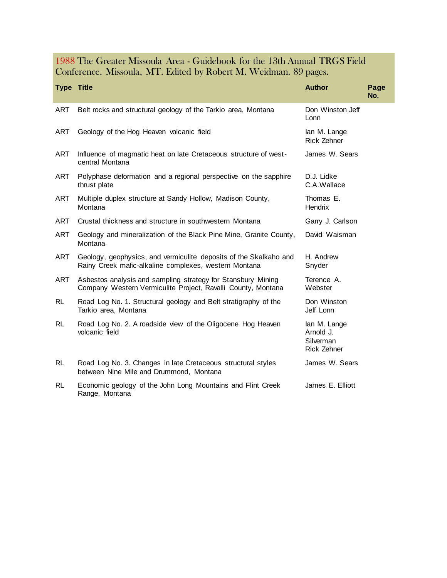### 1988 The Greater Missoula Area - Guidebook for the 13th Annual TRGS Field Conference. Missoula, MT. Edited by Robert M. Weidman. 89 pages.

| <b>Type Title</b> |                                                                                                                              | <b>Author</b>                                                | Page<br>No. |
|-------------------|------------------------------------------------------------------------------------------------------------------------------|--------------------------------------------------------------|-------------|
| <b>ART</b>        | Belt rocks and structural geology of the Tarkio area, Montana                                                                | Don Winston Jeff<br>Lonn                                     |             |
| <b>ART</b>        | Geology of the Hog Heaven volcanic field                                                                                     | lan M. Lange<br><b>Rick Zehner</b>                           |             |
| <b>ART</b>        | Influence of magmatic heat on late Cretaceous structure of west-<br>central Montana                                          | James W. Sears                                               |             |
| ART               | Polyphase deformation and a regional perspective on the sapphire<br>thrust plate                                             | D.J. Lidke<br>C.A.Wallace                                    |             |
| <b>ART</b>        | Multiple duplex structure at Sandy Hollow, Madison County,<br>Montana                                                        | Thomas E.<br>Hendrix                                         |             |
| <b>ART</b>        | Crustal thickness and structure in southwestern Montana                                                                      | Garry J. Carlson                                             |             |
| <b>ART</b>        | Geology and mineralization of the Black Pine Mine, Granite County,<br>Montana                                                | David Waisman                                                |             |
| <b>ART</b>        | Geology, geophysics, and vermiculite deposits of the Skalkaho and<br>Rainy Creek mafic-alkaline complexes, western Montana   | H. Andrew<br>Snyder                                          |             |
| <b>ART</b>        | Asbestos analysis and sampling strategy for Stansbury Mining<br>Company Western Vermiculite Project, Ravalli County, Montana | Terence A.<br>Webster                                        |             |
| RL.               | Road Log No. 1. Structural geology and Belt stratigraphy of the<br>Tarkio area, Montana                                      | Don Winston<br>Jeff Lonn                                     |             |
| <b>RL</b>         | Road Log No. 2. A roadside view of the Oligocene Hog Heaven<br>volcanic field                                                | lan M. Lange<br>Arnold J.<br>Silverman<br><b>Rick Zehner</b> |             |
| RL.               | Road Log No. 3. Changes in late Cretaceous structural styles<br>between Nine Mile and Drummond, Montana                      | James W. Sears                                               |             |
| <b>RL</b>         | Economic geology of the John Long Mountains and Flint Creek<br>Range, Montana                                                | James E. Elliott                                             |             |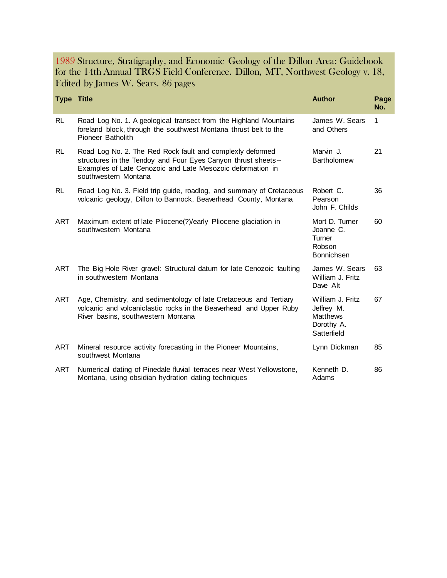1989 Structure, Stratigraphy, and Economic Geology of the Dillon Area: Guidebook for the 14th Annual TRGS Field Conference. Dillon, MT, Northwest Geology v. 18, Edited by James W. Sears. 86 pages

| <b>Type Title</b> |                                                                                                                                                                                                                  | <b>Author</b>                                                                  | Page<br>No. |
|-------------------|------------------------------------------------------------------------------------------------------------------------------------------------------------------------------------------------------------------|--------------------------------------------------------------------------------|-------------|
| <b>RL</b>         | Road Log No. 1. A geological transect from the Highland Mountains<br>foreland block, through the southwest Montana thrust belt to the<br>Pioneer Batholith                                                       | James W. Sears<br>and Others                                                   | 1           |
| <b>RL</b>         | Road Log No. 2. The Red Rock fault and complexly deformed<br>structures in the Tendoy and Four Eyes Canyon thrust sheets--<br>Examples of Late Cenozoic and Late Mesozoic deformation in<br>southwestern Montana | Marvin J.<br><b>Bartholomew</b>                                                | 21          |
| RL.               | Road Log No. 3. Field trip guide, roadlog, and summary of Cretaceous<br>volcanic geology, Dillon to Bannock, Beaverhead County, Montana                                                                          | Robert C.<br>Pearson<br>John F. Childs                                         | 36          |
| ART               | Maximum extent of late Pliocene(?)/early Pliocene glaciation in<br>southwestern Montana                                                                                                                          | Mort D. Turner<br>Joanne C.<br>Turner<br>Robson<br>Bonnichsen                  | 60          |
| <b>ART</b>        | The Big Hole River gravel: Structural datum for late Cenozoic faulting<br>in southwestern Montana                                                                                                                | James W. Sears<br>William J. Fritz<br>Dave Alt                                 | 63          |
| ART               | Age, Chemistry, and sedimentology of late Cretaceous and Tertiary<br>volcanic and volcaniclastic rocks in the Beaverhead and Upper Ruby<br>River basins, southwestern Montana                                    | William J. Fritz<br>Jeffrey M.<br><b>Matthews</b><br>Dorothy A.<br>Satterfield | 67          |
| <b>ART</b>        | Mineral resource activity forecasting in the Pioneer Mountains,<br>southwest Montana                                                                                                                             | Lynn Dickman                                                                   | 85          |
| <b>ART</b>        | Numerical dating of Pinedale fluvial terraces near West Yellowstone,<br>Montana, using obsidian hydration dating techniques                                                                                      | Kenneth D.<br>Adams                                                            | 86          |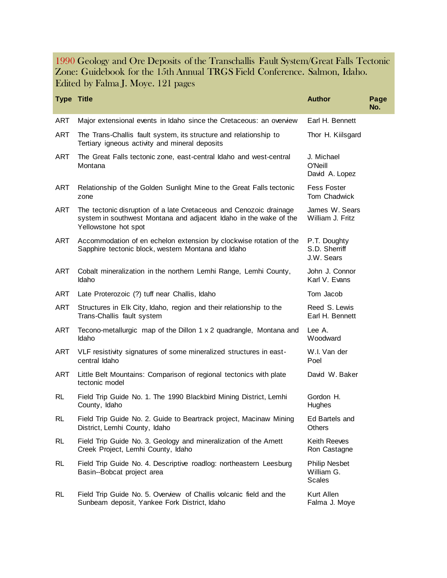#### 1990 Geology and Ore Deposits of the Transchallis Fault System/Great Falls Tectonic Zone: Guidebook for the 15th Annual TRGS Field Conference. Salmon, Idaho. Edited by Falma J. Moye. 121 pages

| <b>Type Title</b> |                                                                                                                                                                 | <b>Author</b>                                       | Page<br>No. |
|-------------------|-----------------------------------------------------------------------------------------------------------------------------------------------------------------|-----------------------------------------------------|-------------|
| <b>ART</b>        | Major extensional events in Idaho since the Cretaceous: an overview                                                                                             | Earl H. Bennett                                     |             |
| <b>ART</b>        | The Trans-Challis fault system, its structure and relationship to<br>Tertiary igneous activity and mineral deposits                                             | Thor H. Kiilsgard                                   |             |
| ART               | The Great Falls tectonic zone, east-central Idaho and west-central<br>Montana                                                                                   | J. Michael<br>O'Neill<br>David A. Lopez             |             |
| ART               | Relationship of the Golden Sunlight Mine to the Great Falls tectonic<br>zone                                                                                    | <b>Fess Foster</b><br>Tom Chadwick                  |             |
| <b>ART</b>        | The tectonic disruption of a late Cretaceous and Cenozoic drainage<br>system in southwest Montana and adjacent Idaho in the wake of the<br>Yellowstone hot spot | James W. Sears<br>William J. Fritz                  |             |
| ART               | Accommodation of en echelon extension by clockwise rotation of the<br>Sapphire tectonic block, western Montana and Idaho                                        | P.T. Doughty<br>S.D. Sherriff<br>J.W. Sears         |             |
| ART               | Cobalt mineralization in the northern Lemhi Range, Lemhi County,<br>Idaho                                                                                       | John J. Connor<br>Karl V. Evans                     |             |
| ART               | Late Proterozoic (?) tuff near Challis, Idaho                                                                                                                   | Tom Jacob                                           |             |
| <b>ART</b>        | Structures in Elk City, Idaho, region and their relationship to the<br>Trans-Challis fault system                                                               | Reed S. Lewis<br>Earl H. Bennett                    |             |
| <b>ART</b>        | Tecono-metallurgic map of the Dillon 1 x 2 quadrangle, Montana and<br>Idaho                                                                                     | Lee A.<br>Woodward                                  |             |
| ART               | VLF resistivity signatures of some mineralized structures in east-<br>central Idaho                                                                             | W.I. Van der<br>Poel                                |             |
| ART               | Little Belt Mountains: Comparison of regional tectonics with plate<br>tectonic model                                                                            | David W. Baker                                      |             |
| RL                | Field Trip Guide No. 1. The 1990 Blackbird Mining District, Lemhi<br>County, Idaho                                                                              | Gordon H.<br>Hughes                                 |             |
| <b>RL</b>         | Field Trip Guide No. 2. Guide to Beartrack project, Macinaw Mining<br>District, Lemhi County, Idaho                                                             | Ed Bartels and<br>Others                            |             |
| <b>RL</b>         | Field Trip Guide No. 3. Geology and mineralization of the Arnett<br>Creek Project, Lemhi County, Idaho                                                          | Keith Reeves<br>Ron Castagne                        |             |
| RL                | Field Trip Guide No. 4. Descriptive roadlog: northeastern Leesburg<br>Basin--Bobcat project area                                                                | <b>Philip Nesbet</b><br>William G.<br><b>Scales</b> |             |
| RL                | Field Trip Guide No. 5. Overview of Challis volcanic field and the<br>Sunbeam deposit, Yankee Fork District, Idaho                                              | Kurt Allen<br>Falma J. Moye                         |             |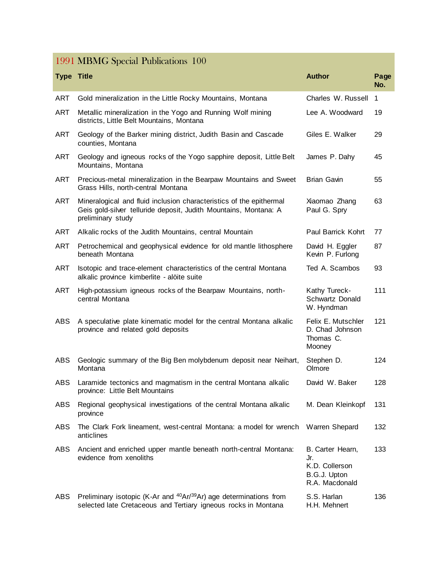# 1991 MBMG Special Publications 100

| <b>Type Title</b> |                                                                                                                                                              | <b>Author</b>                                                               | Page<br>No.    |
|-------------------|--------------------------------------------------------------------------------------------------------------------------------------------------------------|-----------------------------------------------------------------------------|----------------|
| <b>ART</b>        | Gold mineralization in the Little Rocky Mountains, Montana                                                                                                   | Charles W. Russell                                                          | $\overline{1}$ |
| <b>ART</b>        | Metallic mineralization in the Yogo and Running Wolf mining<br>districts, Little Belt Mountains, Montana                                                     | Lee A. Woodward                                                             | 19             |
| ART               | Geology of the Barker mining district, Judith Basin and Cascade<br>counties, Montana                                                                         | Giles E. Walker                                                             | 29             |
| <b>ART</b>        | Geology and igneous rocks of the Yogo sapphire deposit, Little Belt<br>Mountains, Montana                                                                    | James P. Dahy                                                               | 45             |
| <b>ART</b>        | Precious-metal mineralization in the Bearpaw Mountains and Sweet<br>Grass Hills, north-central Montana                                                       | Brian Gavin                                                                 | 55             |
| <b>ART</b>        | Mineralogical and fluid inclusion characteristics of the epithermal<br>Geis gold-silver telluride deposit, Judith Mountains, Montana: A<br>preliminary study | Xiaomao Zhang<br>Paul G. Spry                                               | 63             |
| ART               | Alkalic rocks of the Judith Mountains, central Mountain                                                                                                      | Paul Barrick Kohrt                                                          | 77             |
| <b>ART</b>        | Petrochemical and geophysical evidence for old mantle lithosphere<br>beneath Montana                                                                         | David H. Eggler<br>Kevin P. Furlong                                         | 87             |
| <b>ART</b>        | Isotopic and trace-element characteristics of the central Montana<br>alkalic province kimberlite - alöite suite                                              | Ted A. Scambos                                                              | 93             |
| <b>ART</b>        | High-potassium igneous rocks of the Bearpaw Mountains, north-<br>central Montana                                                                             | Kathy Tureck-<br>Schwartz Donald<br>W. Hyndman                              | 111            |
| <b>ABS</b>        | A speculative plate kinematic model for the central Montana alkalic<br>province and related gold deposits                                                    | Felix E. Mutschler<br>D. Chad Johnson<br>Thomas C.<br>Mooney                | 121            |
| <b>ABS</b>        | Geologic summary of the Big Ben molybdenum deposit near Neihart,<br>Montana                                                                                  | Stephen D.<br>Olmore                                                        | 124            |
| ABS               | Laramide tectonics and magmatism in the central Montana alkalic<br>province: Little Belt Mountains                                                           | David W. Baker                                                              | 128            |
| ABS               | Regional geophysical investigations of the central Montana alkalic<br>province                                                                               | M. Dean Kleinkopf                                                           | 131            |
| ABS               | The Clark Fork lineament, west-central Montana: a model for wrench<br>anticlines                                                                             | Warren Shepard                                                              | 132            |
| ABS               | Ancient and enriched upper mantle beneath north-central Montana:<br>evidence from xenoliths                                                                  | B. Carter Hearn,<br>Jr.<br>K.D. Collerson<br>B.G.J. Upton<br>R.A. Macdonald | 133            |
| ABS               | Preliminary isotopic (K-Ar and <sup>40</sup> Ar/ <sup>39</sup> Ar) age determinations from<br>selected late Cretaceous and Tertiary igneous rocks in Montana | S.S. Harlan<br>H.H. Mehnert                                                 | 136            |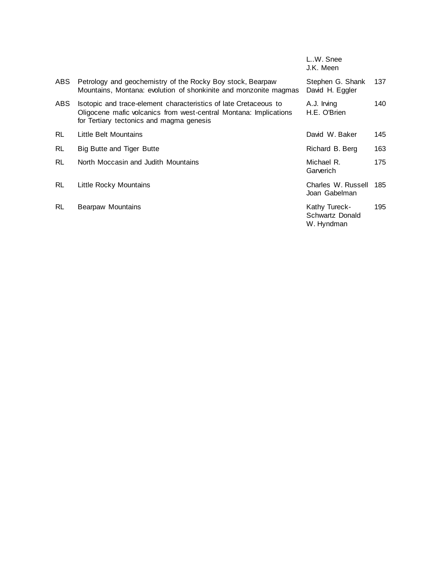|           |                                                                                                                                                                                   | L.W. Snee<br>J.K. Meen                         |     |
|-----------|-----------------------------------------------------------------------------------------------------------------------------------------------------------------------------------|------------------------------------------------|-----|
| ABS.      | Petrology and geochemistry of the Rocky Boy stock, Bearpaw<br>Mountains, Montana: evolution of shonkinite and monzonite magmas                                                    | Stephen G. Shank<br>David H. Eggler            | 137 |
| ABS.      | Isotopic and trace-element characteristics of late Cretaceous to<br>Oligocene mafic volcanics from west-central Montana: Implications<br>for Tertiary tectonics and magma genesis | A.J. Irving<br>H.E. O'Brien                    | 140 |
| <b>RL</b> | Little Belt Mountains                                                                                                                                                             | David W. Baker                                 | 145 |
| <b>RL</b> | Big Butte and Tiger Butte                                                                                                                                                         | Richard B. Berg                                | 163 |
| <b>RL</b> | North Moccasin and Judith Mountains                                                                                                                                               | Michael R.<br>Garverich                        | 175 |
| <b>RL</b> | Little Rocky Mountains                                                                                                                                                            | Charles W. Russell<br>Joan Gabelman            | 185 |
| <b>RL</b> | Bearpaw Mountains                                                                                                                                                                 | Kathy Tureck-<br>Schwartz Donald<br>W. Hyndman | 195 |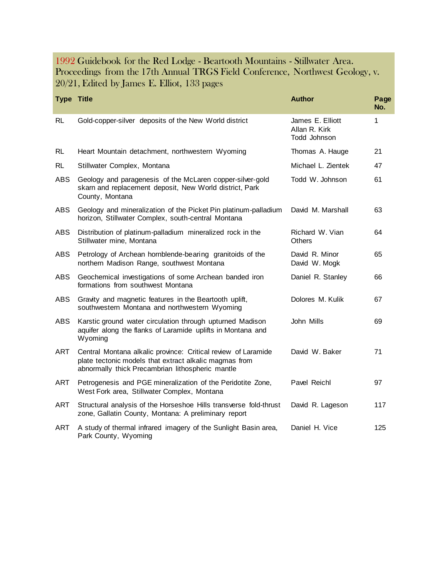#### 1992 Guidebook for the Red Lodge - Beartooth Mountains - Stillwater Area. Proceedings from the 17th Annual TRGS Field Conference, Northwest Geology, v. 20/21, Edited by James E. Elliot, 133 pages

| <b>Type Title</b> |                                                                                                                                                                             | <b>Author</b>                                     | Page<br>No. |
|-------------------|-----------------------------------------------------------------------------------------------------------------------------------------------------------------------------|---------------------------------------------------|-------------|
| <b>RL</b>         | Gold-copper-silver deposits of the New World district                                                                                                                       | James E. Elliott<br>Allan R. Kirk<br>Todd Johnson | 1           |
| <b>RL</b>         | Heart Mountain detachment, northwestern Wyoming                                                                                                                             | Thomas A. Hauge                                   | 21          |
| <b>RL</b>         | Stillwater Complex, Montana                                                                                                                                                 | Michael L. Zientek                                | 47          |
| <b>ABS</b>        | Geology and paragenesis of the McLaren copper-silver-gold<br>skarn and replacement deposit, New World district, Park<br>County, Montana                                     | Todd W. Johnson                                   | 61          |
| <b>ABS</b>        | Geology and mineralization of the Picket Pin platinum-palladium<br>horizon, Stillwater Complex, south-central Montana                                                       | David M. Marshall                                 | 63          |
| <b>ABS</b>        | Distribution of platinum-palladium mineralized rock in the<br>Stillwater mine, Montana                                                                                      | Richard W. Vian<br><b>Others</b>                  | 64          |
| ABS               | Petrology of Archean hornblende-bearing granitoids of the<br>northern Madison Range, southwest Montana                                                                      | David R. Minor<br>David W. Mogk                   | 65          |
| <b>ABS</b>        | Geochemical investigations of some Archean banded iron<br>formations from southwest Montana                                                                                 | Daniel R. Stanley                                 | 66          |
| <b>ABS</b>        | Gravity and magnetic features in the Beartooth uplift,<br>southwestern Montana and northwestern Wyoming                                                                     | Dolores M. Kulik                                  | 67          |
| <b>ABS</b>        | Karstic ground water circulation through upturned Madison<br>aquifer along the flanks of Laramide uplifts in Montana and<br>Wyoming                                         | John Mills                                        | 69          |
| <b>ART</b>        | Central Montana alkalic province: Critical review of Laramide<br>plate tectonic models that extract alkalic magmas from<br>abnormally thick Precambrian lithospheric mantle | David W. Baker                                    | 71          |
| <b>ART</b>        | Petrogenesis and PGE mineralization of the Peridotite Zone,<br>West Fork area, Stillwater Complex, Montana                                                                  | Pavel Reichl                                      | 97          |
| ART               | Structural analysis of the Horseshoe Hills transverse fold-thrust<br>zone, Gallatin County, Montana: A preliminary report                                                   | David R. Lageson                                  | 117         |
| <b>ART</b>        | A study of thermal infrared imagery of the Sunlight Basin area,<br>Park County, Wyoming                                                                                     | Daniel H. Vice                                    | 125         |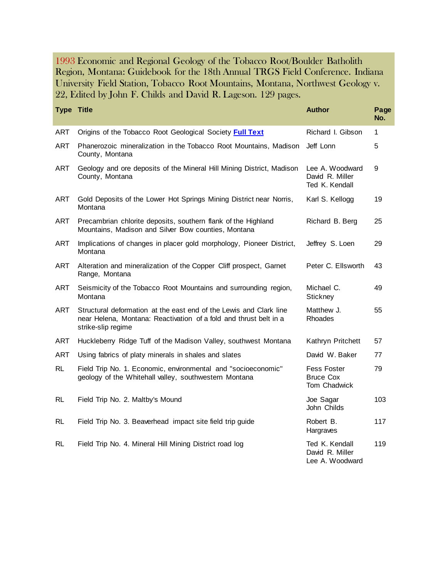1993 Economic and Regional Geology of the Tobacco Root/Boulder Batholith Region, Montana: Guidebook for the 18th Annual TRGS Field Conference. Indiana University Field Station, Tobacco Root Mountains, Montana, Northwest Geology v. 22, Edited by John F. Childs and David R. Lageson. 129 pages.

| <b>Type Title</b> |                                                                                                                                                               | <b>Author</b>                                          | Page<br>No. |
|-------------------|---------------------------------------------------------------------------------------------------------------------------------------------------------------|--------------------------------------------------------|-------------|
| <b>ART</b>        | Origins of the Tobacco Root Geological Society Full Text                                                                                                      | Richard I. Gibson                                      | 1           |
| <b>ART</b>        | Phanerozoic mineralization in the Tobacco Root Mountains, Madison<br>County, Montana                                                                          | Jeff Lonn                                              | 5           |
| <b>ART</b>        | Geology and ore deposits of the Mineral Hill Mining District, Madison<br>County, Montana                                                                      | Lee A. Woodward<br>David R. Miller<br>Ted K. Kendall   | 9           |
| <b>ART</b>        | Gold Deposits of the Lower Hot Springs Mining District near Norris,<br>Montana                                                                                | Karl S. Kellogg                                        | 19          |
| ART               | Precambrian chlorite deposits, southern flank of the Highland<br>Mountains, Madison and Silver Bow counties, Montana                                          | Richard B. Berg                                        | 25          |
| <b>ART</b>        | Implications of changes in placer gold morphology, Pioneer District,<br>Montana                                                                               | Jeffrey S. Loen                                        | 29          |
| ART               | Alteration and mineralization of the Copper Cliff prospect, Garnet<br>Range, Montana                                                                          | Peter C. Ellsworth                                     | 43          |
| <b>ART</b>        | Seismicity of the Tobacco Root Mountains and surrounding region,<br>Montana                                                                                   | Michael C.<br>Stickney                                 | 49          |
| ART               | Structural deformation at the east end of the Lewis and Clark line<br>near Helena, Montana: Reactivation of a fold and thrust belt in a<br>strike-slip regime | Matthew J.<br>Rhoades                                  | 55          |
| <b>ART</b>        | Huckleberry Ridge Tuff of the Madison Valley, southwest Montana                                                                                               | Kathryn Pritchett                                      | 57          |
| <b>ART</b>        | Using fabrics of platy minerals in shales and slates                                                                                                          | David W. Baker                                         | 77          |
| <b>RL</b>         | Field Trip No. 1. Economic, environmental and "socioeconomic"<br>geology of the Whitehall valley, southwestern Montana                                        | <b>Fess Foster</b><br><b>Bruce Cox</b><br>Tom Chadwick | 79          |
| RL                | Field Trip No. 2. Maltby's Mound                                                                                                                              | Joe Sagar<br>John Childs                               | 103         |
| <b>RL</b>         | Field Trip No. 3. Beaverhead impact site field trip guide                                                                                                     | Robert B.<br>Hargraves                                 | 117         |
| <b>RL</b>         | Field Trip No. 4. Mineral Hill Mining District road log                                                                                                       | Ted K. Kendall<br>David R. Miller<br>Lee A. Woodward   | 119         |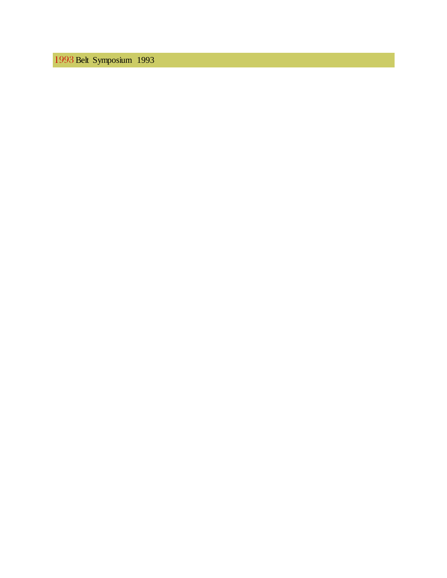Belt Symposium 1993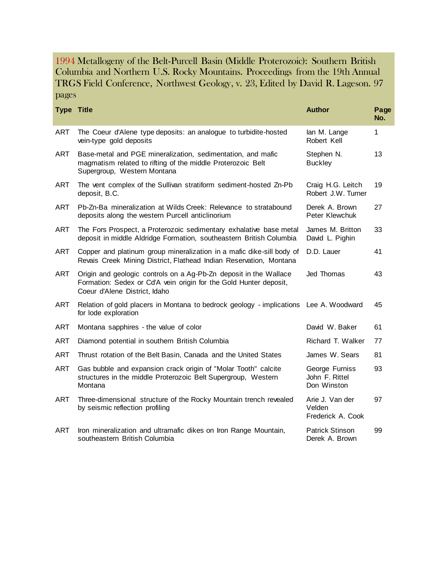1994 Metallogeny of the Belt-Purcell Basin (Middle Proterozoic): Southern British Columbia and Northern U.S. Rocky Mountains. Proceedings from the 19th Annual TRGS Field Conference, Northwest Geology, v. 23, Edited by David R. Lageson. 97 pages

| <b>Type Title</b> |                                                                                                                                                                         | <b>Author</b>                                   | Page<br>No. |
|-------------------|-------------------------------------------------------------------------------------------------------------------------------------------------------------------------|-------------------------------------------------|-------------|
| <b>ART</b>        | The Coeur d'Alene type deposits: an analogue to turbidite-hosted<br>vein-type gold deposits                                                                             | lan M. Lange<br>Robert Kell                     | 1           |
| <b>ART</b>        | Base-metal and PGE mineralization, sedimentation, and mafic<br>magmatism related to rifting of the middle Proterozoic Belt<br>Supergroup, Western Montana               | Stephen N.<br><b>Buckley</b>                    | 13          |
| <b>ART</b>        | The vent complex of the Sullivan stratiform sediment-hosted Zn-Pb<br>deposit, B.C.                                                                                      | Craig H.G. Leitch<br>Robert J.W. Turner         | 19          |
| <b>ART</b>        | Pb-Zn-Ba mineralization at Wilds Creek: Relevance to stratabound<br>deposits along the western Purcell anticlinorium                                                    | Derek A. Brown<br>Peter Klewchuk                | 27          |
| <b>ART</b>        | The Fors Prospect, a Proterozoic sedimentary exhalative base metal<br>deposit in middle Aldridge Formation, southeastern British Columbia                               | James M. Britton<br>David L. Pighin             | 33          |
| <b>ART</b>        | Copper and platinum group mineralization in a mafic dike-sill body of<br>Revais Creek Mining District, Flathead Indian Reservation, Montana                             | D.D. Lauer                                      | 41          |
| <b>ART</b>        | Origin and geologic controls on a Ag-Pb-Zn deposit in the Wallace<br>Formation: Sedex or Cd'A vein origin for the Gold Hunter deposit,<br>Coeur d'Alene District, Idaho | Jed Thomas                                      | 43          |
| <b>ART</b>        | Relation of gold placers in Montana to bedrock geology - implications<br>for lode exploration                                                                           | Lee A. Woodward                                 | 45          |
| ART               | Montana sapphires - the value of color                                                                                                                                  | David W. Baker                                  | 61          |
| <b>ART</b>        | Diamond potential in southern British Columbia                                                                                                                          | Richard T. Walker                               | 77          |
| <b>ART</b>        | Thrust rotation of the Belt Basin, Canada and the United States                                                                                                         | James W. Sears                                  | 81          |
| <b>ART</b>        | Gas bubble and expansion crack origin of "Molar Tooth" calcite<br>structures in the middle Proterozoic Belt Supergroup, Western<br>Montana                              | George Furniss<br>John F. Rittel<br>Don Winston | 93          |
| <b>ART</b>        | Three-dimensional structure of the Rocky Mountain trench revealed<br>by seismic reflection profiling                                                                    | Arie J. Van der<br>Velden<br>Frederick A. Cook  | 97          |
| <b>ART</b>        | Iron mineralization and ultramafic dikes on Iron Range Mountain,<br>southeastern British Columbia                                                                       | <b>Patrick Stinson</b><br>Derek A. Brown        | 99          |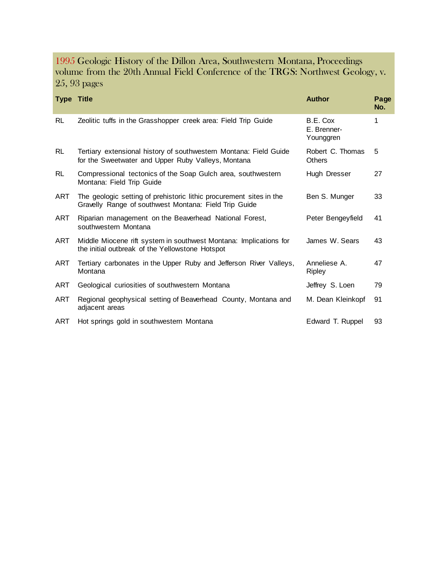#### 1995 Geologic History of the Dillon Area, Southwestern Montana, Proceedings volume from the 20th Annual Field Conference of the TRGS: Northwest Geology, v. 25, 93 pages

| <b>Type Title</b> |                                                                                                                              | <b>Author</b>                        | Page<br>No. |
|-------------------|------------------------------------------------------------------------------------------------------------------------------|--------------------------------------|-------------|
| <b>RL</b>         | Zeolitic tuffs in the Grasshopper creek area: Field Trip Guide                                                               | B.E. Cox<br>E. Brenner-<br>Younggren | 1           |
| <b>RL</b>         | Tertiary extensional history of southwestern Montana: Field Guide<br>for the Sweetwater and Upper Ruby Valleys, Montana      | Robert C. Thomas<br><b>Others</b>    | 5           |
| <b>RL</b>         | Compressional tectonics of the Soap Gulch area, southwestern<br>Montana: Field Trip Guide                                    | Hugh Dresser                         | 27          |
| <b>ART</b>        | The geologic setting of prehistoric lithic procurement sites in the<br>Gravelly Range of southwest Montana: Field Trip Guide | Ben S. Munger                        | 33          |
| ART               | Riparian management on the Beaverhead National Forest,<br>southwestern Montana                                               | Peter Bengeyfield                    | 41          |
| ART               | Middle Miocene rift system in southwest Montana: Implications for<br>the initial outbreak of the Yellowstone Hotspot         | James W. Sears                       | 43          |
| ART               | Tertiary carbonates in the Upper Ruby and Jefferson River Valleys,<br>Montana                                                | Anneliese A.<br>Ripley               | 47          |
| ART               | Geological curiosities of southwestern Montana                                                                               | Jeffrey S. Loen                      | 79          |
| ART               | Regional geophysical setting of Beaverhead County, Montana and<br>adjacent areas                                             | M. Dean Kleinkopf                    | 91          |
| ART               | Hot springs gold in southwestern Montana                                                                                     | Edward T. Ruppel                     | 93          |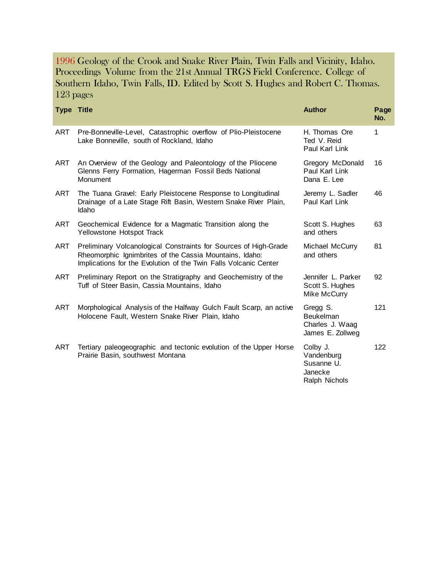1996 Geology of the Crook and Snake River Plain, Twin Falls and Vicinity, Idaho. Proceedings Volume from the 21st Annual TRGS Field Conference. College of Southern Idaho, Twin Falls, ID. Edited by Scott S. Hughes and Robert C. Thomas. 123 pages

| <b>Type Title</b> |                                                                                                                                                                                                 | <b>Author</b>                                                    | Page<br>No. |
|-------------------|-------------------------------------------------------------------------------------------------------------------------------------------------------------------------------------------------|------------------------------------------------------------------|-------------|
| ART               | Pre-Bonneville-Level, Catastrophic overflow of Plio-Pleistocene<br>Lake Bonneville, south of Rockland, Idaho                                                                                    | H. Thomas Ore<br>Ted V. Reid<br>Paul Karl Link                   | 1           |
| ART               | An Overview of the Geology and Paleontology of the Pliocene<br>Glenns Ferry Formation, Hagerman Fossil Beds National<br>Monument                                                                | Gregory McDonald<br>Paul Karl Link<br>Dana E. Lee                | 16          |
| ART               | The Tuana Gravel: Early Pleistocene Response to Longitudinal<br>Drainage of a Late Stage Rift Basin, Western Snake River Plain,<br>Idaho                                                        | Jeremy L. Sadler<br>Paul Karl Link                               | 46          |
| ART               | Geochemical Evidence for a Magmatic Transition along the<br>Yellowstone Hotspot Track                                                                                                           | Scott S. Hughes<br>and others                                    | 63          |
| ART               | Preliminary Volcanological Constraints for Sources of High-Grade<br>Rheomorphic Ignimbrites of the Cassia Mountains, Idaho:<br>Implications for the Evolution of the Twin Falls Volcanic Center | Michael McCurry<br>and others                                    | 81          |
| ART               | Preliminary Report on the Stratigraphy and Geochemistry of the<br>Tuff of Steer Basin, Cassia Mountains, Idaho                                                                                  | Jennifer L. Parker<br>Scott S. Hughes<br>Mike McCurry            | 92          |
| <b>ART</b>        | Morphological Analysis of the Halfway Gulch Fault Scarp, an active<br>Holocene Fault, Western Snake River Plain, Idaho                                                                          | Gregg S.<br>Beukelman<br>Charles J. Waag<br>James E. Zollweg     | 121         |
| ART               | Tertiary paleogeographic and tectonic evolution of the Upper Horse<br>Prairie Basin, southwest Montana                                                                                          | Colby J.<br>Vandenburg<br>Susanne U.<br>Janecke<br>Ralph Nichols | 122         |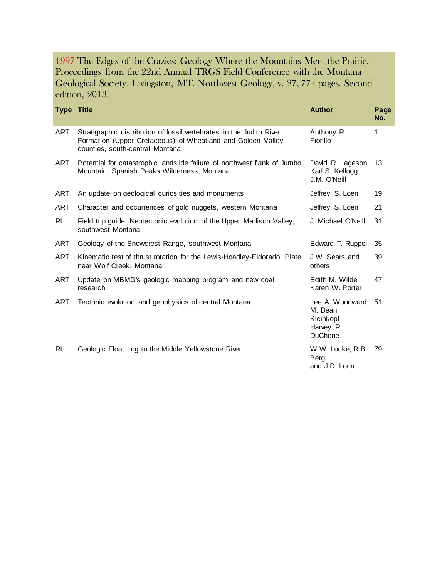1997 The Edges of the Crazies: Geology Where the Mountains Meet the Prairie. Proceedings from the 22nd Annual TRGS Field Conference with the Montana Geological Society. Livingston, MT. Northwest Geology, v. 27, 77+ pages. Second edition, 2013.

| <b>Type Title</b> |                                                                                                                                                                        | <b>Author</b>                                                          | Page<br>No. |
|-------------------|------------------------------------------------------------------------------------------------------------------------------------------------------------------------|------------------------------------------------------------------------|-------------|
| <b>ART</b>        | Stratigraphic distribution of fossil vertebrates in the Judith River<br>Formation (Upper Cretaceous) of Wheatland and Golden Valley<br>counties, south-central Montana | Anthony R.<br>Fiorillo                                                 | 1           |
| ART               | Potential for catastrophic landslide failure of northwest flank of Jumbo<br>Mountain, Spanish Peaks Wilderness, Montana                                                | David R. Lageson<br>Karl S. Kellogg<br>J.M. O'Neill                    | 13          |
| ART               | An update on geological curiosities and monuments                                                                                                                      | Jeffrey S. Loen                                                        | 19          |
| ART               | Character and occurrences of gold nuggets, western Montana                                                                                                             | Jeffrey S. Loen                                                        | 21          |
| <b>RL</b>         | Field trip guide: Neotectonic evolution of the Upper Madison Valley,<br>southwest Montana                                                                              | J. Michael O'Neill                                                     | 31          |
| ART               | Geology of the Snowcrest Range, southwest Montana                                                                                                                      | Edward T. Ruppel                                                       | 35          |
| ART               | Kinematic test of thrust rotation for the Lewis-Hoadley-Eldorado Plate<br>near Wolf Creek, Montana                                                                     | J.W. Sears and<br>others                                               | 39          |
| <b>ART</b>        | Update on MBMG's geologic mapping program and new coal<br>research                                                                                                     | Edith M. Wilde<br>Karen W. Porter                                      | 47          |
| ART               | Tectonic evolution and geophysics of central Montana                                                                                                                   | Lee A. Woodward<br>M. Dean<br>Kleinkopf<br>Harvey R.<br><b>DuChene</b> | 51          |
| <b>RL</b>         | Geologic Float Log to the Middle Yellowstone River                                                                                                                     | W.W. Locke, R.B.<br>Berg,<br>and J.D. Lonn                             | -79         |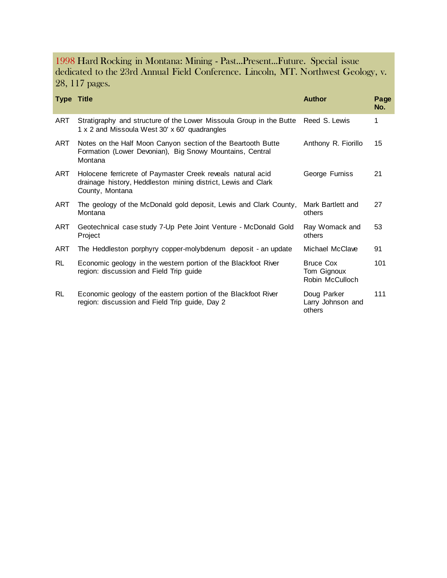#### 1998 Hard Rocking in Montana: Mining - Past...Present...Future. Special issue dedicated to the 23rd Annual Field Conference. Lincoln, MT. Northwest Geology, v. 28, 117 pages.

| <b>Type Title</b> |                                                                                                                                                 | <b>Author</b>                                      | Page<br>No. |
|-------------------|-------------------------------------------------------------------------------------------------------------------------------------------------|----------------------------------------------------|-------------|
| ART               | Stratigraphy and structure of the Lower Missoula Group in the Butte<br>1 x 2 and Missoula West 30' x 60' quadrangles                            | Reed S. Lewis                                      | 1           |
| ART               | Notes on the Half Moon Canyon section of the Beartooth Butte<br>Formation (Lower Devonian), Big Snowy Mountains, Central<br>Montana             | Anthony R. Fiorillo                                | 15          |
| ART               | Holocene ferricrete of Paymaster Creek reveals natural acid<br>drainage history, Heddleston mining district, Lewis and Clark<br>County, Montana | George Furniss                                     | 21          |
| ART               | The geology of the McDonald gold deposit, Lewis and Clark County,<br>Montana                                                                    | Mark Bartlett and<br>others                        | 27          |
| ART               | Geotechnical case study 7-Up Pete Joint Venture - McDonald Gold<br>Project                                                                      | Ray Womack and<br>others                           | 53          |
| ART               | The Heddleston porphyry copper-molybdenum deposit - an update                                                                                   | Michael McClave                                    | 91          |
| RL                | Economic geology in the western portion of the Blackfoot River<br>region: discussion and Field Trip guide                                       | <b>Bruce Cox</b><br>Tom Gignoux<br>Robin McCulloch | 101         |
| <b>RL</b>         | Economic geology of the eastern portion of the Blackfoot River<br>region: discussion and Field Trip guide, Day 2                                | Doug Parker<br>Larry Johnson and<br>others         | 111         |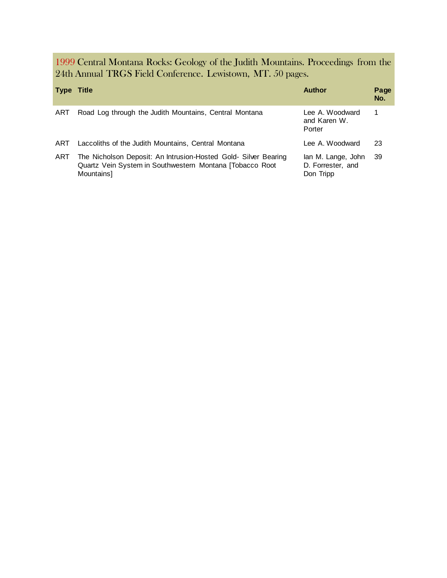1999 Central Montana Rocks: Geology of the Judith Mountains. Proceedings from the 24th Annual TRGS Field Conference. Lewistown, MT. 50 pages.

| <b>Type Title</b> |                                                                                                                                            | <b>Author</b>                                        | Page<br>No. |
|-------------------|--------------------------------------------------------------------------------------------------------------------------------------------|------------------------------------------------------|-------------|
| ART               | Road Log through the Judith Mountains, Central Montana                                                                                     | Lee A. Woodward<br>and Karen W.<br>Porter            |             |
| ART               | Laccoliths of the Judith Mountains, Central Montana                                                                                        | Lee A. Woodward                                      | 23          |
| ART               | The Nicholson Deposit: An Intrusion-Hosted Gold- Silver Bearing<br>Quartz Vein System in Southwestern Montana [Tobacco Root]<br>Mountains] | lan M. Lange, John<br>D. Forrester, and<br>Don Tripp | 39          |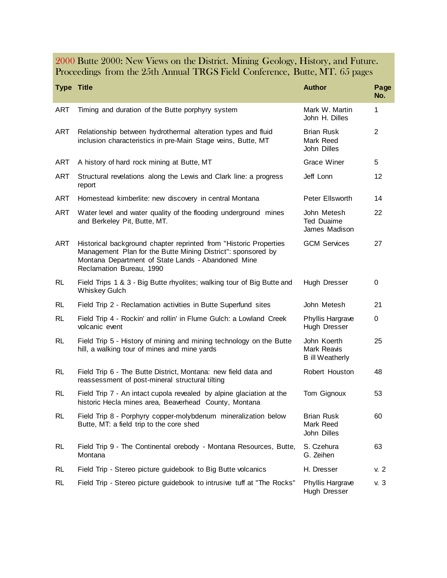#### 2000 Butte 2000: New Views on the District. Mining Geology, History, and Future. Proceedings from the 25th Annual TRGS Field Conference, Butte, MT. 65 pages

| <b>Type Title</b> |                                                                                                                                                                                                                     | <b>Author</b>                                        | Page<br>No.    |
|-------------------|---------------------------------------------------------------------------------------------------------------------------------------------------------------------------------------------------------------------|------------------------------------------------------|----------------|
| <b>ART</b>        | Timing and duration of the Butte porphyry system                                                                                                                                                                    | Mark W. Martin<br>John H. Dilles                     | 1              |
| <b>ART</b>        | Relationship between hydrothermal alteration types and fluid<br>inclusion characteristics in pre-Main Stage veins, Butte, MT                                                                                        | <b>Brian Rusk</b><br>Mark Reed<br>John Dilles        | $\overline{2}$ |
| <b>ART</b>        | A history of hard rock mining at Butte, MT                                                                                                                                                                          | Grace Winer                                          | 5              |
| <b>ART</b>        | Structural revelations along the Lewis and Clark line: a progress<br>report                                                                                                                                         | Jeff Lonn                                            | 12             |
| <b>ART</b>        | Homestead kimberlite: new discovery in central Montana                                                                                                                                                              | Peter Ellsworth                                      | 14             |
| <b>ART</b>        | Water level and water quality of the flooding underground mines<br>and Berkeley Pit, Butte, MT.                                                                                                                     | John Metesh<br>Ted Duaime<br>James Madison           | 22             |
| <b>ART</b>        | Historical background chapter reprinted from "Historic Properties<br>Management Plan for the Butte Mining District": sponsored by<br>Montana Department of State Lands - Abandoned Mine<br>Reclamation Bureau, 1990 | <b>GCM Services</b>                                  | 27             |
| <b>RL</b>         | Field Trips 1 & 3 - Big Butte rhyolites; walking tour of Big Butte and<br><b>Whiskey Gulch</b>                                                                                                                      | Hugh Dresser                                         | 0              |
| RL                | Field Trip 2 - Reclamation activities in Butte Superfund sites                                                                                                                                                      | John Metesh                                          | 21             |
| <b>RL</b>         | Field Trip 4 - Rockin' and rollin' in Flume Gulch: a Lowland Creek<br>volcanic event                                                                                                                                | Phyllis Hargrave<br>Hugh Dresser                     | 0              |
| <b>RL</b>         | Field Trip 5 - History of mining and mining technology on the Butte<br>hill, a walking tour of mines and mine yards                                                                                                 | John Koerth<br>Mark Reavis<br><b>B</b> ill Weatherly | 25             |
| <b>RL</b>         | Field Trip 6 - The Butte District, Montana: new field data and<br>reassessment of post-mineral structural tilting                                                                                                   | Robert Houston                                       | 48             |
| <b>RL</b>         | Field Trip 7 - An intact cupola revealed by alpine glaciation at the<br>historic Hecla mines area, Beaverhead County, Montana                                                                                       | Tom Gignoux                                          | 53             |
| <b>RL</b>         | Field Trip 8 - Porphyry copper-molybdenum mineralization below<br>Butte, MT: a field trip to the core shed                                                                                                          | <b>Brian Rusk</b><br>Mark Reed<br>John Dilles        | 60             |
| <b>RL</b>         | Field Trip 9 - The Continental orebody - Montana Resources, Butte,<br>Montana                                                                                                                                       | S. Czehura<br>G. Zeihen                              | 63             |
| <b>RL</b>         | Field Trip - Stereo picture guidebook to Big Butte volcanics                                                                                                                                                        | H. Dresser                                           | v. 2           |
| <b>RL</b>         | Field Trip - Stereo picture guidebook to intrusive tuff at "The Rocks"                                                                                                                                              | Phyllis Hargrave<br>Hugh Dresser                     | v. 3           |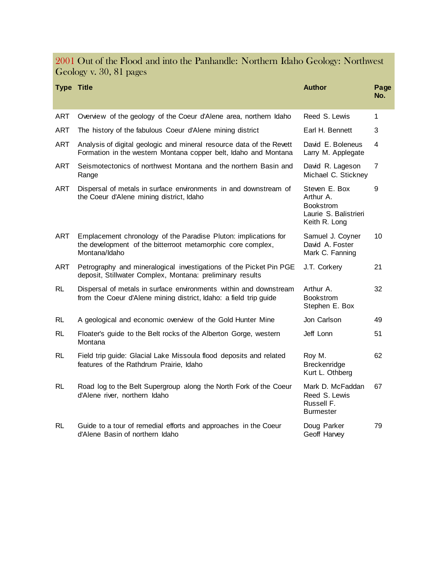2001 Out of the Flood and into the Panhandle: Northern Idaho Geology: Northwest Geology v. 30, 81 pages

| <b>Type Title</b> |                                                                                                                                                 | <b>Author</b>                                                                            | Page<br>No. |
|-------------------|-------------------------------------------------------------------------------------------------------------------------------------------------|------------------------------------------------------------------------------------------|-------------|
| <b>ART</b>        | Overview of the geology of the Coeur d'Alene area, northern Idaho                                                                               | Reed S. Lewis                                                                            | 1           |
| <b>ART</b>        | The history of the fabulous Coeur d'Alene mining district                                                                                       | Earl H. Bennett                                                                          | 3           |
| <b>ART</b>        | Analysis of digital geologic and mineral resource data of the Revett<br>Formation in the western Montana copper belt, Idaho and Montana         | David E. Boleneus<br>Larry M. Applegate                                                  | 4           |
| ART               | Seismotectonics of northwest Montana and the northern Basin and<br>Range                                                                        | David R. Lageson<br>Michael C. Stickney                                                  | 7           |
| ART               | Dispersal of metals in surface environments in and downstream of<br>the Coeur d'Alene mining district, Idaho                                    | Steven E. Box<br>Arthur A.<br><b>Bookstrom</b><br>Laurie S. Balistrieri<br>Keith R. Long | 9           |
| <b>ART</b>        | Emplacement chronology of the Paradise Pluton: implications for<br>the development of the bitterroot metamorphic core complex,<br>Montana/Idaho | Samuel J. Coyner<br>David A. Foster<br>Mark C. Fanning                                   | 10          |
| ART               | Petrography and mineralogical investigations of the Picket Pin PGE<br>deposit, Stillwater Complex, Montana: preliminary results                 | J.T. Corkery                                                                             | 21          |
| <b>RL</b>         | Dispersal of metals in surface environments within and downstream<br>from the Coeur d'Alene mining district, Idaho: a field trip guide          | Arthur A.<br><b>Bookstrom</b><br>Stephen E. Box                                          | 32          |
| RL.               | A geological and economic overview of the Gold Hunter Mine                                                                                      | Jon Carlson                                                                              | 49          |
| RL                | Floater's guide to the Belt rocks of the Alberton Gorge, western<br>Montana                                                                     | Jeff Lonn                                                                                | 51          |
| RL.               | Field trip guide: Glacial Lake Missoula flood deposits and related<br>features of the Rathdrum Prairie, Idaho                                   | Roy M.<br>Breckenridge<br>Kurt L. Othberg                                                | 62          |
| <b>RL</b>         | Road log to the Belt Supergroup along the North Fork of the Coeur<br>d'Alene river, northern Idaho                                              | Mark D. McFaddan<br>Reed S. Lewis<br>Russell F.<br><b>Burmester</b>                      | 67          |
| <b>RL</b>         | Guide to a tour of remedial efforts and approaches in the Coeur<br>d'Alene Basin of northern Idaho                                              | Doug Parker<br>Geoff Harvey                                                              | 79          |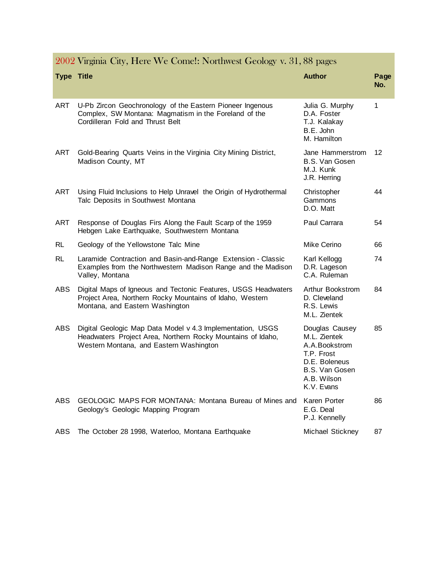| <b>Type Title</b> |                                                                                                                                                                      | <b>Author</b>                                                                                                                 | Page<br>No. |
|-------------------|----------------------------------------------------------------------------------------------------------------------------------------------------------------------|-------------------------------------------------------------------------------------------------------------------------------|-------------|
| ART               | U-Pb Zircon Geochronology of the Eastern Pioneer Ingenous<br>Complex, SW Montana: Magmatism in the Foreland of the<br>Cordilleran Fold and Thrust Belt               | Julia G. Murphy<br>D.A. Foster<br>T.J. Kalakay<br>B.E. John<br>M. Hamilton                                                    | 1           |
| ART               | Gold-Bearing Quarts Veins in the Virginia City Mining District,<br>Madison County, MT                                                                                | Jane Hammerstrom<br>B.S. Van Gosen<br>M.J. Kunk<br>J.R. Herring                                                               | 12          |
| ART               | Using Fluid Inclusions to Help Unravel the Origin of Hydrothermal<br>Talc Deposits in Southwest Montana                                                              | Christopher<br>Gammons<br>D.O. Matt                                                                                           | 44          |
| ART               | Response of Douglas Firs Along the Fault Scarp of the 1959<br>Hebgen Lake Earthquake, Southwestern Montana                                                           | Paul Carrara                                                                                                                  | 54          |
| RL                | Geology of the Yellowstone Talc Mine                                                                                                                                 | Mike Cerino                                                                                                                   | 66          |
| <b>RL</b>         | Laramide Contraction and Basin-and-Range Extension - Classic<br>Examples from the Northwestern Madison Range and the Madison<br>Valley, Montana                      | Karl Kellogg<br>D.R. Lageson<br>C.A. Ruleman                                                                                  | 74          |
| ABS.              | Digital Maps of Igneous and Tectonic Features, USGS Headwaters<br>Project Area, Northern Rocky Mountains of Idaho, Western<br>Montana, and Eastern Washington        | Arthur Bookstrom<br>D. Cleveland<br>R.S. Lewis<br>M.L. Zientek                                                                | 84          |
| <b>ABS</b>        | Digital Geologic Map Data Model v 4.3 Implementation, USGS<br>Headwaters Project Area, Northern Rocky Mountains of Idaho,<br>Western Montana, and Eastern Washington | Douglas Causey<br>M.L. Zientek<br>A.A.Bookstrom<br>T.P. Frost<br>D.E. Boleneus<br>B.S. Van Gosen<br>A.B. Wilson<br>K.V. Evans | 85          |
| ABS               | GEOLOGIC MAPS FOR MONTANA: Montana Bureau of Mines and<br>Geology's Geologic Mapping Program                                                                         | Karen Porter<br>E.G. Deal<br>P.J. Kennelly                                                                                    | 86          |
| <b>ABS</b>        | The October 28 1998, Waterloo, Montana Earthquake                                                                                                                    | Michael Stickney                                                                                                              | 87          |

# 2002 Virginia City, Here We Come!: Northwest Geology v. 31, 88 pages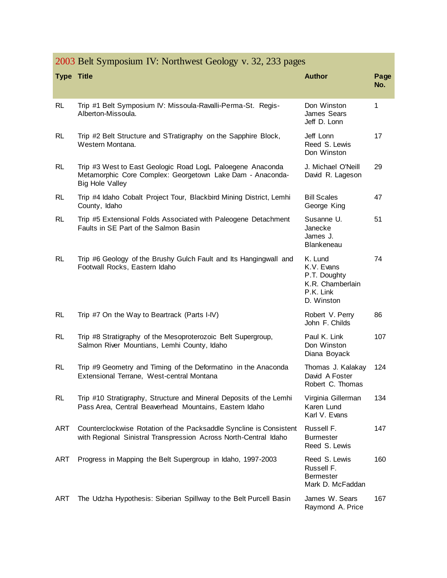|                   | 2005 Bell Symposium IV. Northwest Geology V. 32, 233 pages                                                                                        |                                                                                      |             |  |
|-------------------|---------------------------------------------------------------------------------------------------------------------------------------------------|--------------------------------------------------------------------------------------|-------------|--|
| <b>Type Title</b> |                                                                                                                                                   | <b>Author</b>                                                                        | Page<br>No. |  |
| <b>RL</b>         | Trip #1 Belt Symposium IV: Missoula-Ravalli-Perma-St. Regis-<br>Alberton-Missoula.                                                                | Don Winston<br>James Sears<br>Jeff D. Lonn                                           | 1           |  |
| RL                | Trip #2 Belt Structure and STratigraphy on the Sapphire Block,<br>Western Montana.                                                                | Jeff Lonn<br>Reed S. Lewis<br>Don Winston                                            | 17          |  |
| <b>RL</b>         | Trip #3 West to East Geologic Road LogL Paloegene Anaconda<br>Metamorphic Core Complex: Georgetown Lake Dam - Anaconda-<br><b>Big Hole Valley</b> | J. Michael O'Neill<br>David R. Lageson                                               | 29          |  |
| <b>RL</b>         | Trip #4 Idaho Cobalt Project Tour, Blackbird Mining District, Lemhi<br>County, Idaho                                                              | <b>Bill Scales</b><br>George King                                                    | 47          |  |
| <b>RL</b>         | Trip #5 Extensional Folds Associated with Paleogene Detachment<br>Faults in SE Part of the Salmon Basin                                           | Susanne U.<br>Janecke<br>James J.<br>Blankeneau                                      | 51          |  |
| <b>RL</b>         | Trip #6 Geology of the Brushy Gulch Fault and Its Hangingwall and<br>Footwall Rocks, Eastern Idaho                                                | K. Lund<br>K.V. Evans<br>P.T. Doughty<br>K.R. Chamberlain<br>P.K. Link<br>D. Winston | 74          |  |
| <b>RL</b>         | Trip #7 On the Way to Beartrack (Parts I-IV)                                                                                                      | Robert V. Perry<br>John F. Childs                                                    | 86          |  |
| <b>RL</b>         | Trip #8 Stratigraphy of the Mesoproterozoic Belt Supergroup,<br>Salmon River Mountians, Lemhi County, Idaho                                       | Paul K. Link<br>Don Winston<br>Diana Boyack                                          | 107         |  |
| <b>RL</b>         | Trip #9 Geometry and Timing of the Deformatino in the Anaconda<br>Extensional Terrane, West-central Montana                                       | Thomas J. Kalakay<br>David A Foster<br>Robert C. Thomas                              | 124         |  |
| <b>RL</b>         | Trip #10 Stratigraphy, Structure and Mineral Deposits of the Lemhi<br>Pass Area, Central Beaverhead Mountains, Eastern Idaho                      | Virginia Gillerman<br>Karen Lund<br>Karl V. Evans                                    | 134         |  |
| ART               | Counterclockwise Rotation of the Packsaddle Syncline is Consistent<br>with Regional Sinistral Transpression Across North-Central Idaho            | Russell F.<br><b>Burmester</b><br>Reed S. Lewis                                      | 147         |  |
| <b>ART</b>        | Progress in Mapping the Belt Supergroup in Idaho, 1997-2003                                                                                       | Reed S. Lewis<br>Russell F.<br><b>Bermester</b><br>Mark D. McFaddan                  | 160         |  |
| ART               | The Udzha Hypothesis: Siberian Spillway to the Belt Purcell Basin                                                                                 | James W. Sears                                                                       | 167         |  |

# 2003 Belt Symposium IV: Northwest Geology v. 32, 233 pages

Raymond A. Price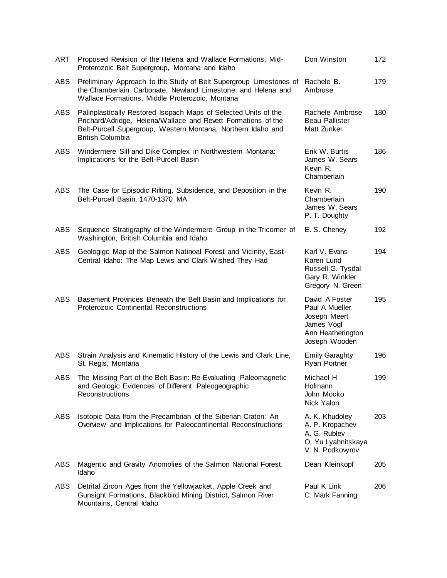| ART        | Proposed Revision of the Helena and Wallace Formations, Mid-<br>Proterozoic Belt Supergroup, Montana and Idaho                                                                                                              | Don Winston                                                                                          | 172 |
|------------|-----------------------------------------------------------------------------------------------------------------------------------------------------------------------------------------------------------------------------|------------------------------------------------------------------------------------------------------|-----|
| ABS        | Preliminary Approach to the Study of Belt Supergroup Limestones of<br>the Chamberlain Carbonate, Newland Limestone, and Helena and<br>Wallace Formations, Middle Proterozoic, Montana                                       | Rachele B.<br>Ambrose                                                                                | 179 |
| ABS        | Palinplastically Restored Isopach Maps of Selected Units of the<br>Prichard/Adridge, Helena/Wallace and Revett Formations of the<br>Belt-Purcell Supergroup, Western Montana, Northern Idaho and<br><b>British Columbia</b> | Rachele Ambrose<br><b>Beau Pallister</b><br>Matt Zunker                                              | 180 |
| ABS        | Windermere Sill and Dike Complex in Northwestern Montana:<br>Implications for the Belt-Purcell Basin                                                                                                                        | Erik W. Burtis<br>James W. Sears<br>Kevin R.<br>Chamberlain                                          | 186 |
| <b>ABS</b> | The Case for Episodic Rifting, Subsidence, and Deposition in the<br>Belt-Purcell Basin, 1470-1370 MA                                                                                                                        | Kevin R.<br>Chamberlain<br>James W. Sears<br>P. T. Doughty                                           | 190 |
| <b>ABS</b> | Sequence Stratigraphy of the Windermere Group in the Tricorner of<br>Washington, British Columbia and Idaho                                                                                                                 | E. S. Cheney                                                                                         | 192 |
| <b>ABS</b> | Geologigc Map of the Salmon Natinoal Forest and Vicinity, East-<br>Central Idaho: The Map Lewis and Clark Wished They Had                                                                                                   | Karl V. Evans<br>Karen Lund<br>Russell G. Tysdal<br>Gary R. Winkler<br>Gregory N. Green              | 194 |
| <b>ABS</b> | Basement Provinces Beneath the Belt Basin and Implications for<br>Proterozoic Continental Reconstructions                                                                                                                   | David A Foster<br>Paul A Mueller<br>Joseph Meert<br>James Vogl<br>Ann Heatherington<br>Joseph Wooden | 195 |
| ABS        | Strain Analysis and Kinematic History of the Lewis and Clark Line,<br>St. Regis, Montana                                                                                                                                    | <b>Emily Garaghty</b><br>Ryan Portner                                                                | 196 |
| ABS        | The Missing Part of the Belt Basin: Re-Evaluating Paleomagnetic<br>and Geologic Evidences of Different Paleogeographic<br>Reconstructions                                                                                   | Michael H<br>Hofmann<br>John Mocko<br>Nick Yalon                                                     | 199 |
| ABS        | Isotopic Data from the Precambrian of the Siberian Craton: An<br>Overview and Implications for Paleocontinental Reconstructions                                                                                             | A. K. Khudoley<br>A. P. Kropachev<br>A. G. Rublev<br>O. Yu Lyahnitskaya<br>V. N. Podkovyrov          | 203 |
| ABS        | Magentic and Gravity Anomolies of the Salmon National Forest,<br>Idaho                                                                                                                                                      | Dean Kleinkopf                                                                                       | 205 |
| ABS        | Detrital Zircon Ages from the Yellowjacket, Apple Creek and<br>Gunsight Formations, Blackbird Mining District, Salmon River<br>Mountains, Central Idaho                                                                     | Paul K Link<br>C. Mark Fanning                                                                       | 206 |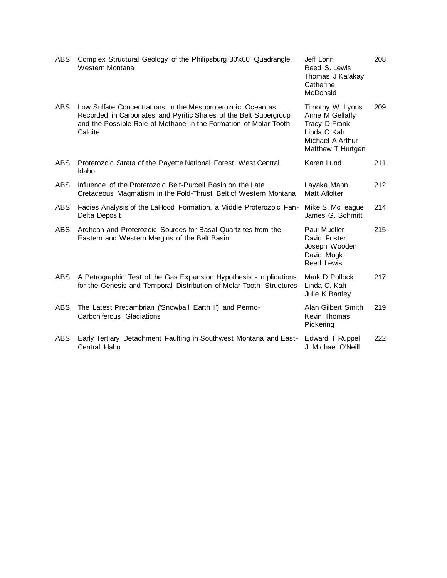| <b>ABS</b> | Complex Structural Geology of the Philipsburg 30'x60' Quadrangle,<br>Western Montana                                                                                                                          | Jeff Lonn<br>Reed S. Lewis<br>Thomas J Kalakay<br>Catherine<br>McDonald                                      | 208 |
|------------|---------------------------------------------------------------------------------------------------------------------------------------------------------------------------------------------------------------|--------------------------------------------------------------------------------------------------------------|-----|
| ABS.       | Low Sulfate Concentrations in the Mesoproterozoic Ocean as<br>Recorded in Carbonates and Pyritic Shales of the Belt Supergroup<br>and the Possible Role of Methane in the Formation of Molar-Tooth<br>Calcite | Timothy W. Lyons<br>Anne M Gellatly<br>Tracy D Frank<br>Linda C Kah<br>Michael A Arthur<br>Matthew T Hurtgen | 209 |
| <b>ABS</b> | Proterozoic Strata of the Payette National Forest, West Central<br>Idaho                                                                                                                                      | Karen Lund                                                                                                   | 211 |
| <b>ABS</b> | Influence of the Proterozoic Belt-Purcell Basin on the Late<br>Cretaceous Magmatism in the Fold-Thrust Belt of Western Montana                                                                                | Layaka Mann<br>Matt Affolter                                                                                 | 212 |
| ABS        | Facies Analysis of the LaHood Formation, a Middle Proterozoic Fan-<br>Delta Deposit                                                                                                                           | Mike S. McTeague<br>James G. Schmitt                                                                         | 214 |
| <b>ABS</b> | Archean and Proterozoic Sources for Basal Quartzites from the<br>Eastern and Western Margins of the Belt Basin                                                                                                | Paul Mueller<br>David Foster<br>Joseph Wooden<br>David Mogk<br>Reed Lewis                                    | 215 |
| <b>ABS</b> | A Petrographic Test of the Gas Expansion Hypothesis - Implications<br>for the Genesis and Temporal Distribution of Molar-Tooth Structures                                                                     | Mark D Pollock<br>Linda C. Kah<br>Julie K Bartley                                                            | 217 |
| <b>ABS</b> | The Latest Precambrian ('Snowball Earth II') and Permo-<br>Carboniferous Glaciations                                                                                                                          | Alan Gilbert Smith<br>Kevin Thomas<br>Pickering                                                              | 219 |
| ABS        | Early Tertiary Detachment Faulting in Southwest Montana and East-<br>Central Idaho                                                                                                                            | <b>Edward T Ruppel</b><br>J. Michael O'Neill                                                                 | 222 |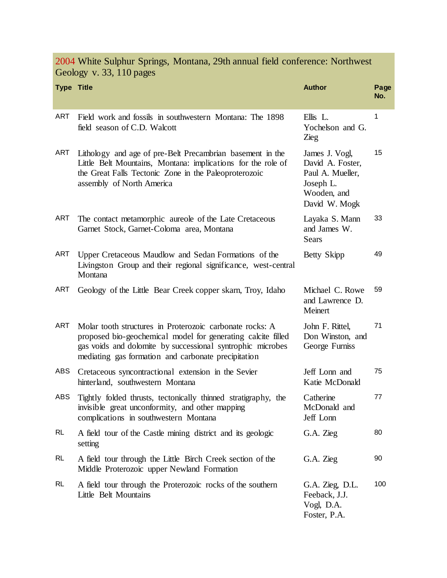Geology v. 33, 110 pages **Type Title Author Page No.** ART Field work and fossils in southwestern Montana: The 1898 field season of C.D. Walcott Ellis L. Yochelson and G. Zieg 1 ART Lithology and age of pre-Belt Precambrian basement in the Little Belt Mountains, Montana: implications for the role of the Great Falls Tectonic Zone in the Paleoproterozoic assembly of North America James J. Vogl, David A. Foster, Paul A. Mueller, Joseph L. Wooden, and David W. Mogk 15 ART The contact metamorphic aureole of the Late Cretaceous Garnet Stock, Garnet-Coloma area, Montana Layaka S. Mann and James W. Sears 33 ART Upper Cretaceous Maudlow and Sedan Formations of the Livingston Group and their regional significance, west-central Montana Betty Skipp 49 ART Geology of the Little Bear Creek copper skarn, Troy, Idaho Michael C. Rowe and Lawrence D. Meinert 59 ART Molar tooth structures in Proterozoic carbonate rocks: A proposed bio-geochemical model for generating calcite filled gas voids and dolomite by successional syntrophic microbes mediating gas formation and carbonate precipitation John F. Rittel, Don Winston, and George Furniss 71 ABS Cretaceous syncontractional extension in the Sevier hinterland, southwestern Montana Jeff Lonn and Katie McDonald 75 ABS Tightly folded thrusts, tectonically thinned stratigraphy, the invisible great unconformity, and other mapping complications in southwestern Montana **Catherine** McDonald and Jeff Lonn 77 RL A field tour of the Castle mining district and its geologic setting G.A. Zieg 80 RL A field tour through the Little Birch Creek section of the Middle Proterozoic upper Newland Formation G.A. Zieg 90 RL A field tour through the Proterozoic rocks of the southern Little Belt Mountains G.A. Zieg, D.L. Feeback, J.J. Vogl, D.A. Foster, P.A. 100

2004 White Sulphur Springs, Montana, 29th annual field conference: Northwest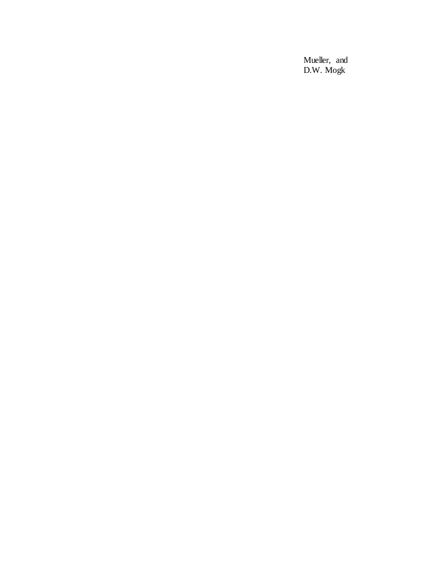Mueller, and D.W. Mogk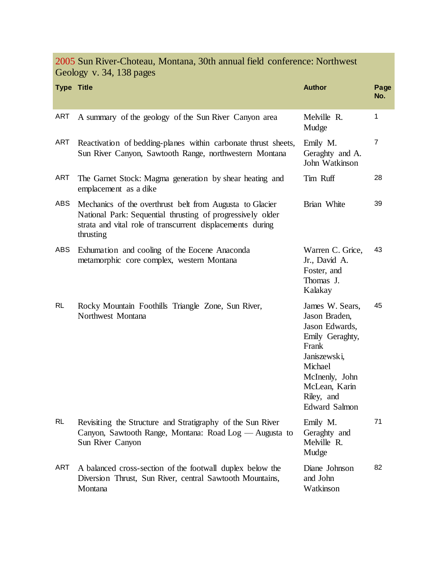2005 Sun River-Choteau, Montana, 30th annual field conference: Northwest Geology v. 34, 138 pages

| <b>Type Title</b> |                                                                                                                                                                                                   | <b>Author</b>                                                                                                                                                                      | Page<br>No.    |
|-------------------|---------------------------------------------------------------------------------------------------------------------------------------------------------------------------------------------------|------------------------------------------------------------------------------------------------------------------------------------------------------------------------------------|----------------|
| ART               | A summary of the geology of the Sun River Canyon area                                                                                                                                             | Melville R.<br>Mudge                                                                                                                                                               | 1              |
| <b>ART</b>        | Reactivation of bedding-planes within carbonate thrust sheets,<br>Sun River Canyon, Sawtooth Range, northwestern Montana                                                                          | Emily M.<br>Geraghty and A.<br>John Watkinson                                                                                                                                      | $\overline{7}$ |
| <b>ART</b>        | The Garnet Stock: Magma generation by shear heating and<br>emplacement as a dike                                                                                                                  | Tim Ruff                                                                                                                                                                           | 28             |
| ABS               | Mechanics of the overthrust belt from Augusta to Glacier<br>National Park: Sequential thrusting of progressively older<br>strata and vital role of transcurrent displacements during<br>thrusting | Brian White                                                                                                                                                                        | 39             |
| ABS               | Exhumation and cooling of the Eocene Anaconda<br>metamorphic core complex, western Montana                                                                                                        | Warren C. Grice,<br>Jr., David A.<br>Foster, and<br>Thomas J.<br>Kalakay                                                                                                           | 43             |
| <b>RL</b>         | Rocky Mountain Foothills Triangle Zone, Sun River,<br>Northwest Montana                                                                                                                           | James W. Sears,<br>Jason Braden,<br>Jason Edwards,<br>Emily Geraghty,<br>Frank<br>Janiszewski,<br>Michael<br>McInenly, John<br>McLean, Karin<br>Riley, and<br><b>Edward Salmon</b> | 45             |
| <b>RL</b>         | Revisiting the Structure and Stratigraphy of the Sun River<br>Canyon, Sawtooth Range, Montana: Road Log — Augusta to<br>Sun River Canyon                                                          | Emily M.<br>Geraghty and<br>Melville R.<br>Mudge                                                                                                                                   | 71             |
| ART               | A balanced cross-section of the footwall duplex below the<br>Diversion Thrust, Sun River, central Sawtooth Mountains,<br>Montana                                                                  | Diane Johnson<br>and John<br>Watkinson                                                                                                                                             | 82             |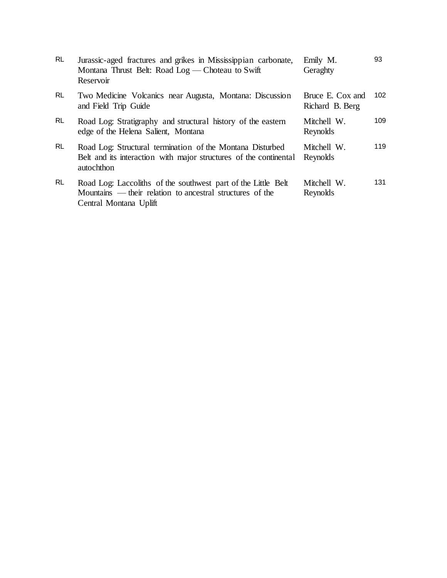| Jurassic-aged fractures and grikes in Mississippian carbonate,<br>Montana Thrust Belt: Road Log — Choteau to Swift<br>Reservoir                      | Emily M.<br>Geraghty                | 93  |
|------------------------------------------------------------------------------------------------------------------------------------------------------|-------------------------------------|-----|
| Two Medicine Volcanics near Augusta, Montana: Discussion<br>and Field Trip Guide                                                                     | Bruce E. Cox and<br>Richard B. Berg | 102 |
| Road Log: Stratigraphy and structural history of the eastern<br>edge of the Helena Salient, Montana                                                  | Mitchell W.<br>Reynolds             | 109 |
| Road Log: Structural termination of the Montana Disturbed<br>Belt and its interaction with major structures of the continental<br>autochthon         | Mitchell W.<br>Reynolds             | 119 |
| Road Log: Laccoliths of the southwest part of the Little Belt<br>Mountains — their relation to ancestral structures of the<br>Central Montana Uplift | Mitchell W.<br>Reynolds             | 131 |
|                                                                                                                                                      |                                     |     |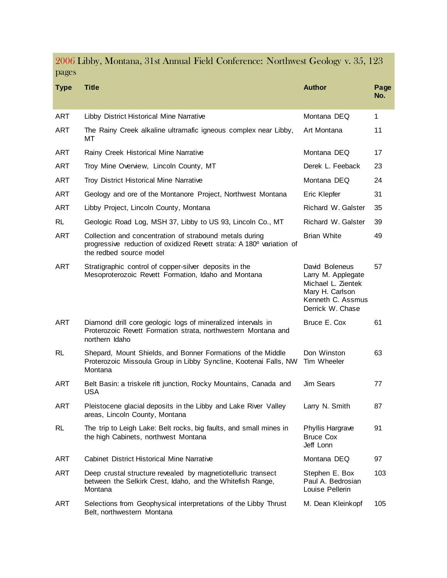2006 Libby, Montana, 31st Annual Field Conference: Northwest Geology v. 35, 123 pages

| <b>Type</b> | <b>Title</b>                                                                                                                                               | <b>Author</b>                                                                                                          | Page<br>No. |
|-------------|------------------------------------------------------------------------------------------------------------------------------------------------------------|------------------------------------------------------------------------------------------------------------------------|-------------|
| ART         | Libby District Historical Mine Narrative                                                                                                                   | Montana DEQ                                                                                                            | 1           |
| <b>ART</b>  | The Rainy Creek alkaline ultramafic igneous complex near Libby,<br>МT                                                                                      | Art Montana                                                                                                            | 11          |
| <b>ART</b>  | Rainy Creek Historical Mine Narrative                                                                                                                      | Montana DEQ                                                                                                            | 17          |
| <b>ART</b>  | Troy Mine Overview, Lincoln County, MT                                                                                                                     | Derek L. Feeback                                                                                                       | 23          |
| <b>ART</b>  | Troy District Historical Mine Narrative                                                                                                                    | Montana DEQ                                                                                                            | 24          |
| <b>ART</b>  | Geology and ore of the Montanore Project, Northwest Montana                                                                                                | Eric Klepfer                                                                                                           | 31          |
| <b>ART</b>  | Libby Project, Lincoln County, Montana                                                                                                                     | Richard W. Galster                                                                                                     | 35          |
| <b>RL</b>   | Geologic Road Log, MSH 37, Libby to US 93, Lincoln Co., MT                                                                                                 | Richard W. Galster                                                                                                     | 39          |
| <b>ART</b>  | Collection and concentration of strabound metals during<br>progressive reduction of oxidized Revett strata: A 180° variation of<br>the redbed source model | <b>Brian White</b>                                                                                                     | 49          |
| <b>ART</b>  | Stratigraphic control of copper-silver deposits in the<br>Mesoproterozoic Revett Formation, Idaho and Montana                                              | David Boleneus<br>Larry M. Applegate<br>Michael L. Zientek<br>Mary H. Carlson<br>Kenneth C. Assmus<br>Derrick W. Chase | 57          |
| <b>ART</b>  | Diamond drill core geologic logs of mineralized intervals in<br>Proterozoic Revett Formation strata, northwestern Montana and<br>northern Idaho            | Bruce E. Cox                                                                                                           | 61          |
| <b>RL</b>   | Shepard, Mount Shields, and Bonner Formations of the Middle<br>Proterozoic Missoula Group in Libby Syncline, Kootenai Falls, NW<br>Montana                 | Don Winston<br>Tim Wheeler                                                                                             | 63          |
| ART         | Belt Basin: a triskele rift junction, Rocky Mountains, Canada and<br><b>USA</b>                                                                            | <b>Jim Sears</b>                                                                                                       | 77          |
| ART         | Pleistocene glacial deposits in the Libby and Lake River Valley<br>areas, Lincoln County, Montana                                                          | Larry N. Smith                                                                                                         | 87          |
| <b>RL</b>   | The trip to Leigh Lake: Belt rocks, big faults, and small mines in<br>the high Cabinets, northwest Montana                                                 | Phyllis Hargrave<br><b>Bruce Cox</b><br>Jeff Lonn                                                                      | 91          |
| <b>ART</b>  | <b>Cabinet District Historical Mine Narrative</b>                                                                                                          | Montana DEQ                                                                                                            | 97          |
| <b>ART</b>  | Deep crustal structure revealed by magnetiotelluric transect<br>between the Selkirk Crest, Idaho, and the Whitefish Range,<br>Montana                      | Stephen E. Box<br>Paul A. Bedrosian<br>Louise Pellerin                                                                 | 103         |
| <b>ART</b>  | Selections from Geophysical interpretations of the Libby Thrust<br>Belt, northwestern Montana                                                              | M. Dean Kleinkopf                                                                                                      | 105         |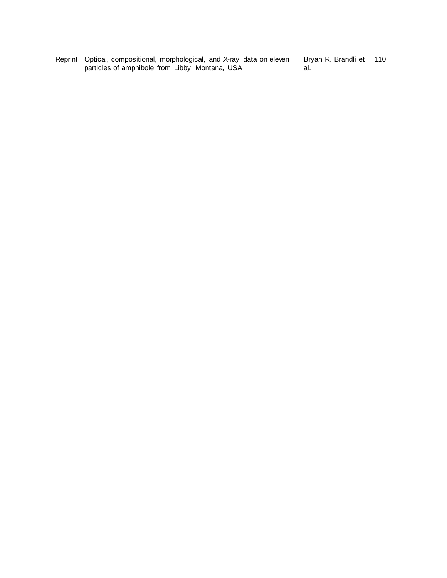Reprint Optical, compositional, morphological, and X-ray data on eleven particles of amphibole from Libby, Montana, USA

Bryan R. Brandli et 110al.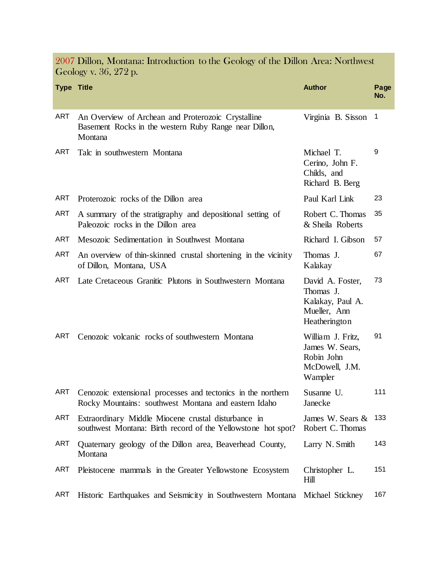| <b>Type Title</b> |                                                                                                                        | <b>Author</b>                                                                      | Page<br>No.    |
|-------------------|------------------------------------------------------------------------------------------------------------------------|------------------------------------------------------------------------------------|----------------|
| <b>ART</b>        | An Overview of Archean and Proterozoic Crystalline<br>Basement Rocks in the western Ruby Range near Dillon,<br>Montana | Virginia B. Sisson                                                                 | $\overline{1}$ |
| <b>ART</b>        | Talc in southwestern Montana                                                                                           | Michael T.<br>Cerino, John F.<br>Childs, and<br>Richard B. Berg                    | 9              |
| ART               | Proterozoic rocks of the Dillon area                                                                                   | Paul Karl Link                                                                     | 23             |
| <b>ART</b>        | A summary of the stratigraphy and depositional setting of<br>Paleozoic rocks in the Dillon area                        | Robert C. Thomas<br>& Sheila Roberts                                               | 35             |
| <b>ART</b>        | Mesozoic Sedimentation in Southwest Montana                                                                            | Richard I. Gibson                                                                  | 57             |
| ART               | An overview of thin-skinned crustal shortening in the vicinity<br>of Dillon, Montana, USA                              | Thomas J.<br>Kalakay                                                               | 67             |
| ART               | Late Cretaceous Granitic Plutons in Southwestern Montana                                                               | David A. Foster,<br>Thomas J.<br>Kalakay, Paul A.<br>Mueller, Ann<br>Heatherington | 73             |
| ART               | Cenozoic volcanic rocks of southwestern Montana                                                                        | William J. Fritz,<br>James W. Sears,<br>Robin John<br>McDowell, J.M.<br>Wampler    | 91             |
| ART               | Cenozoic extensional processes and tectonics in the northern<br>Rocky Mountains: southwest Montana and eastern Idaho   | Susanne U.<br>Janecke                                                              | 111            |
| ART               | Extraordinary Middle Miocene crustal disturbance in<br>southwest Montana: Birth record of the Yellowstone hot spot?    | James W. Sears &<br>Robert C. Thomas                                               | 133            |
| ART               | Quaternary geology of the Dillon area, Beaverhead County,<br>Montana                                                   | Larry N. Smith                                                                     | 143            |
| <b>ART</b>        | Pleistocene mammals in the Greater Yellowstone Ecosystem                                                               | Christopher L.<br>Hill                                                             | 151            |
| <b>ART</b>        | Historic Earthquakes and Seismicity in Southwestern Montana Michael Stickney                                           |                                                                                    | 167            |

2007 Dillon, Montana: Introduction to the Geology of the Dillon Area: Northwest Geology v. 36, 272 p.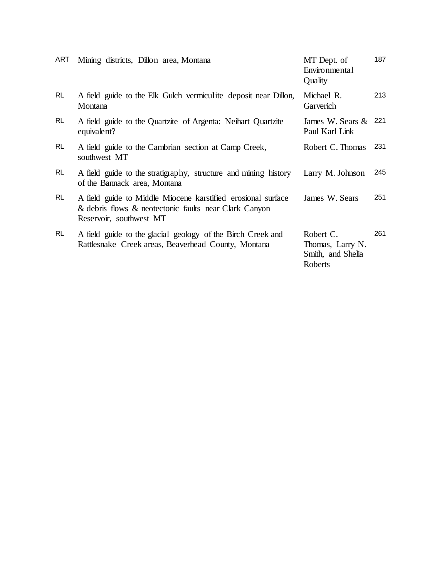| ART       | Mining districts, Dillon area, Montana                                                                                                           | MT Dept. of<br>Environmental<br>Quality                       | 187 |
|-----------|--------------------------------------------------------------------------------------------------------------------------------------------------|---------------------------------------------------------------|-----|
| <b>RL</b> | A field guide to the Elk Gulch vermiculite deposit near Dillon,<br>Montana                                                                       | Michael R.<br>Garverich                                       | 213 |
| <b>RL</b> | A field guide to the Quartzite of Argenta: Neihart Quartzite<br>equivalent?                                                                      | James W. Sears &<br>Paul Karl Link                            | 221 |
| <b>RL</b> | A field guide to the Cambrian section at Camp Creek,<br>southwest MT                                                                             | Robert C. Thomas                                              | 231 |
| <b>RL</b> | A field guide to the stratigraphy, structure and mining history<br>of the Bannack area, Montana                                                  | Larry M. Johnson                                              | 245 |
| <b>RL</b> | A field guide to Middle Miocene karstified erosional surface<br>& debris flows & neotectonic faults near Clark Canyon<br>Reservoir, southwest MT | James W. Sears                                                | 251 |
| RL        | A field guide to the glacial geology of the Birch Creek and<br>Rattlesnake Creek areas, Beaverhead County, Montana                               | Robert C.<br>Thomas, Larry N.<br>Smith, and Shelia<br>Roberts | 261 |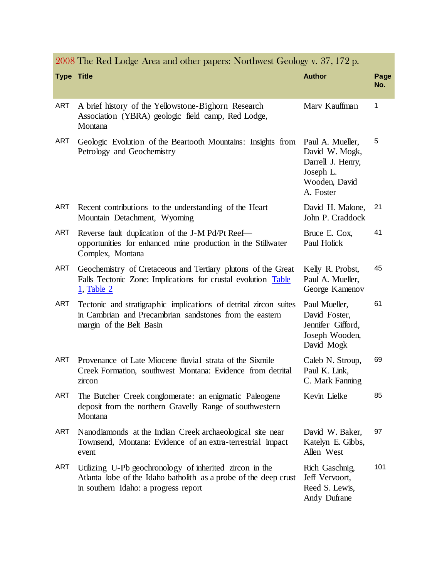|                   | 2008 The Ked Lodge Area and other papers: Northwest Geology v. 37, 172 p.                                                                                           |                                                                                                    |             |
|-------------------|---------------------------------------------------------------------------------------------------------------------------------------------------------------------|----------------------------------------------------------------------------------------------------|-------------|
| <b>Type Title</b> |                                                                                                                                                                     | <b>Author</b>                                                                                      | Page<br>No. |
| <b>ART</b>        | A brief history of the Yellowstone-Bighorn Research<br>Association (YBRA) geologic field camp, Red Lodge,<br>Montana                                                | Mary Kauffman                                                                                      | 1           |
| <b>ART</b>        | Geologic Evolution of the Beartooth Mountains: Insights from<br>Petrology and Geochemistry                                                                          | Paul A. Mueller,<br>David W. Mogk,<br>Darrell J. Henry,<br>Joseph L.<br>Wooden, David<br>A. Foster | 5           |
| ART               | Recent contributions to the understanding of the Heart<br>Mountain Detachment, Wyoming                                                                              | David H. Malone,<br>John P. Craddock                                                               | 21          |
| <b>ART</b>        | Reverse fault duplication of the J-M Pd/Pt Reef-<br>opportunities for enhanced mine production in the Stillwater<br>Complex, Montana                                | Bruce E. Cox,<br>Paul Holick                                                                       | 41          |
| ART               | Geochemistry of Cretaceous and Tertiary plutons of the Great<br>Falls Tectonic Zone: Implications for crustal evolution Table<br>$1,$ Table $2$                     | Kelly R. Probst,<br>Paul A. Mueller,<br>George Kamenov                                             | 45          |
| <b>ART</b>        | Tectonic and stratigraphic implications of detrital zircon suites<br>in Cambrian and Precambrian sandstones from the eastern<br>margin of the Belt Basin            | Paul Mueller,<br>David Foster,<br>Jennifer Gifford,<br>Joseph Wooden,<br>David Mogk                | 61          |
| <b>ART</b>        | Provenance of Late Miocene fluvial strata of the Sixmile<br>Creek Formation, southwest Montana: Evidence from detrital<br>zircon                                    | Caleb N. Stroup,<br>Paul K. Link,<br>C. Mark Fanning                                               | 69          |
| <b>ART</b>        | The Butcher Creek conglomerate: an enigmatic Paleogene<br>deposit from the northern Gravelly Range of southwestern<br>Montana                                       | Kevin Lielke                                                                                       | 85          |
| <b>ART</b>        | Nanodiamonds at the Indian Creek archaeological site near<br>Townsend, Montana: Evidence of an extra-terrestrial impact<br>event                                    | David W. Baker,<br>Katelyn E. Gibbs,<br>Allen West                                                 | 97          |
| <b>ART</b>        | Utilizing U-Pb geochronology of inherited zircon in the<br>Atlanta lobe of the Idaho batholith as a probe of the deep crust<br>in southern Idaho: a progress report | Rich Gaschnig,<br>Jeff Vervoort,<br>Reed S. Lewis,<br>Andy Dufrane                                 | 101         |

2008 The Red Lodge Area and other papers: Northwest Geology v. 37, 172 p.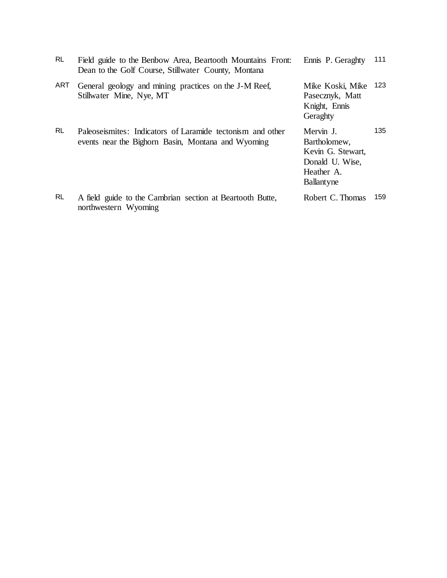| <b>RL</b> | Field guide to the Benbow Area, Beartooth Mountains Front:<br>Dean to the Golf Course, Stillwater County, Montana | Ennis P. Geraghty                                                                                    | 111  |
|-----------|-------------------------------------------------------------------------------------------------------------------|------------------------------------------------------------------------------------------------------|------|
| ART       | General geology and mining practices on the J-M Reef,<br>Stillwater Mine, Nye, MT                                 | Mike Koski, Mike<br>Pasecznyk, Matt<br>Knight, Ennis<br>Geraghty                                     | 123. |
| <b>RL</b> | Paleoseismites: Indicators of Laramide tectonism and other<br>events near the Bighorn Basin, Montana and Wyoming  | Mervin J.<br>Bartholomew,<br>Kevin G. Stewart,<br>Donald U. Wise,<br>Heather A.<br><b>Ballantyne</b> | 135  |
| <b>RL</b> | A field guide to the Cambrian section at Beartooth Butte,<br>northwestern Wyoming                                 | Robert C. Thomas                                                                                     | 159  |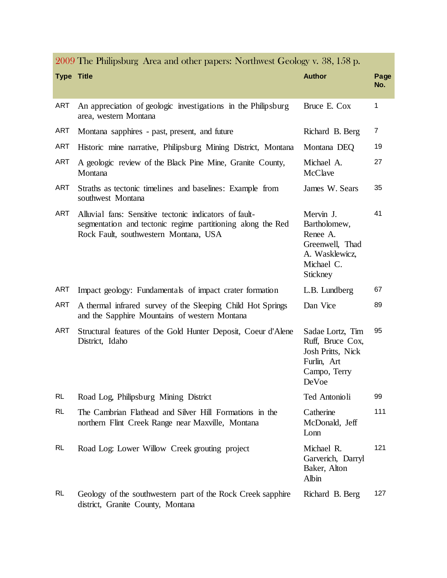|                   | 2009 The Philipsburg Area and other papers: Northwest Geology v. 38, 158 p.                                                                                    |                                                                                                      |             |
|-------------------|----------------------------------------------------------------------------------------------------------------------------------------------------------------|------------------------------------------------------------------------------------------------------|-------------|
| <b>Type Title</b> |                                                                                                                                                                | <b>Author</b>                                                                                        | Page<br>No. |
|                   |                                                                                                                                                                |                                                                                                      |             |
| <b>ART</b>        | An appreciation of geologic investigations in the Philipsburg<br>area, western Montana                                                                         | Bruce E. Cox                                                                                         | 1           |
| <b>ART</b>        | Montana sapphires - past, present, and future                                                                                                                  | Richard B. Berg                                                                                      | 7           |
| <b>ART</b>        | Historic mine narrative, Philipsburg Mining District, Montana                                                                                                  | Montana DEQ                                                                                          | 19          |
| <b>ART</b>        | A geologic review of the Black Pine Mine, Granite County,<br>Montana                                                                                           | Michael A.<br>McClave                                                                                | 27          |
| <b>ART</b>        | Straths as tectonic timelines and baselines: Example from<br>southwest Montana                                                                                 | James W. Sears                                                                                       | 35          |
| <b>ART</b>        | Alluvial fans: Sensitive tectonic indicators of fault-<br>segmentation and tectonic regime partitioning along the Red<br>Rock Fault, southwestern Montana, USA | Mervin J.<br>Bartholomew,<br>Renee A.<br>Greenwell, Thad<br>A. Wasklewicz,<br>Michael C.<br>Stickney | 41          |
| <b>ART</b>        | Impact geology: Fundamentals of impact crater formation                                                                                                        | L.B. Lundberg                                                                                        | 67          |
| <b>ART</b>        | A thermal infrared survey of the Sleeping Child Hot Springs<br>and the Sapphire Mountains of western Montana                                                   | Dan Vice                                                                                             | 89          |
| <b>ART</b>        | Structural features of the Gold Hunter Deposit, Coeur d'Alene<br>District, Idaho                                                                               | Sadae Lortz, Tim<br>Ruff, Bruce Cox,<br>Josh Pritts, Nick<br>Furlin, Art<br>Campo, Terry<br>DeVoe    | 95          |
| <b>RL</b>         | Road Log, Philipsburg Mining District                                                                                                                          | Ted Antonioli                                                                                        | 99          |
| <b>RL</b>         | The Cambrian Flathead and Silver Hill Formations in the<br>northern Flint Creek Range near Maxville, Montana                                                   | Catherine<br>McDonald, Jeff<br>Lonn                                                                  | 111         |
| <b>RL</b>         | Road Log: Lower Willow Creek grouting project                                                                                                                  | Michael R.<br>Garverich, Darryl<br>Baker, Alton<br>Albin                                             | 121         |
| <b>RL</b>         | Geology of the southwestern part of the Rock Creek sapphire<br>district, Granite County, Montana                                                               | Richard B. Berg                                                                                      | 127         |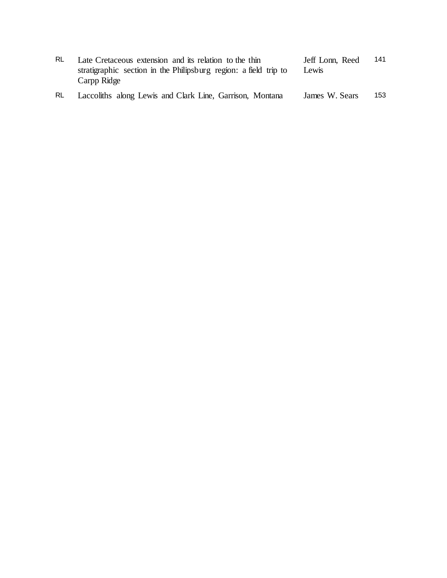| RL. | Late Cretaceous extension and its relation to the thin<br>stratigraphic section in the Philipsburg region: a field trip to<br>Carpp Ridge | Jeff Lonn, Reed<br>Lewis | 141 |
|-----|-------------------------------------------------------------------------------------------------------------------------------------------|--------------------------|-----|
| RL. | Laccoliths along Lewis and Clark Line, Garrison, Montana                                                                                  | James W. Sears           | 153 |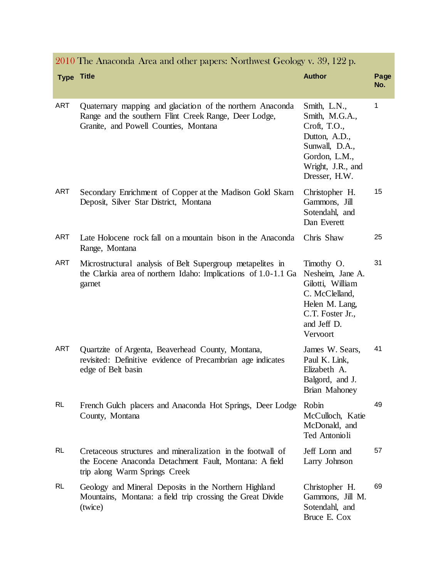|                   | 2010 The Anaconda Area and other papers: Northwest Geology v. 39, 122 p.                                                                                     |                                                                                                                                          |             |
|-------------------|--------------------------------------------------------------------------------------------------------------------------------------------------------------|------------------------------------------------------------------------------------------------------------------------------------------|-------------|
| <b>Type Title</b> |                                                                                                                                                              | <b>Author</b>                                                                                                                            | Page<br>No. |
| <b>ART</b>        | Quaternary mapping and glaciation of the northern Anaconda<br>Range and the southern Flint Creek Range, Deer Lodge,<br>Granite, and Powell Counties, Montana | Smith, L.N.,<br>Smith, M.G.A.,<br>Croft, T.O.,<br>Dutton, A.D.,<br>Sunwall, D.A.,<br>Gordon, L.M.,<br>Wright, J.R., and<br>Dresser, H.W. | 1           |
| <b>ART</b>        | Secondary Enrichment of Copper at the Madison Gold Skarn<br>Deposit, Silver Star District, Montana                                                           | Christopher H.<br>Gammons, Jill<br>Sotendahl, and<br>Dan Everett                                                                         | 15          |
| <b>ART</b>        | Late Holocene rock fall on a mountain bison in the Anaconda<br>Range, Montana                                                                                | Chris Shaw                                                                                                                               | 25          |
| <b>ART</b>        | Microstructural analysis of Belt Supergroup metapelites in<br>the Clarkia area of northern Idaho: Implications of 1.0-1.1 Ga<br>garnet                       | Timothy O.<br>Nesheim, Jane A.<br>Gilotti, William<br>C. McClelland,<br>Helen M. Lang,<br>C.T. Foster Jr.,<br>and Jeff D.<br>Vervoort    | 31          |
| <b>ART</b>        | Quartzite of Argenta, Beaverhead County, Montana,<br>revisited: Definitive evidence of Precambrian age indicates<br>edge of Belt basin                       | James W. Sears,<br>Paul K. Link,<br>Elizabeth A.<br>Balgord, and J.<br>Brian Mahoney                                                     | 41          |
| <b>RL</b>         | French Gulch placers and Anaconda Hot Springs, Deer Lodge<br>County, Montana                                                                                 | Robin<br>McCulloch, Katie<br>McDonald, and<br>Ted Antonioli                                                                              | 49          |
| <b>RL</b>         | Cretaceous structures and mineralization in the footwall of<br>the Eocene Anaconda Detachment Fault, Montana: A field<br>trip along Warm Springs Creek       | Jeff Lonn and<br>Larry Johnson                                                                                                           | 57          |
| <b>RL</b>         | Geology and Mineral Deposits in the Northern Highland<br>Mountains, Montana: a field trip crossing the Great Divide<br>(twice)                               | Christopher H.<br>Gammons, Jill M.<br>Sotendahl, and<br>Bruce E. Cox                                                                     | 69          |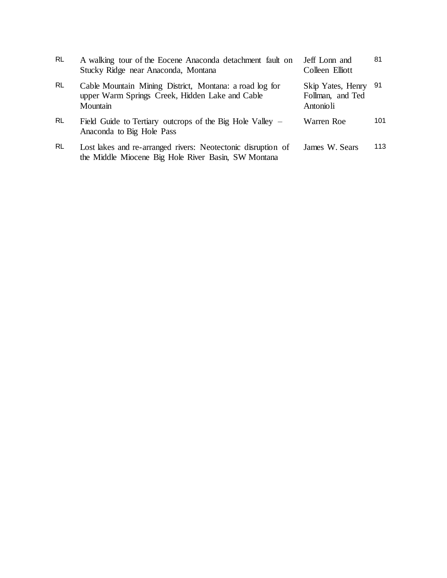| <b>RL</b> | A walking tour of the Eocene Anaconda detachment fault on<br>Stucky Ridge near Anaconda, Montana                       | Jeff Lonn and<br>Colleen Elliott                       | 81  |
|-----------|------------------------------------------------------------------------------------------------------------------------|--------------------------------------------------------|-----|
| <b>RL</b> | Cable Mountain Mining District, Montana: a road log for<br>upper Warm Springs Creek, Hidden Lake and Cable<br>Mountain | Skip Yates, Henry 91<br>Follman, and Ted<br>Antonio li |     |
| <b>RL</b> | Field Guide to Tertiary outcrops of the Big Hole Valley –<br>Anaconda to Big Hole Pass                                 | Warren Roe                                             | 101 |
| <b>RL</b> | Lost lakes and re-arranged rivers: Neotectonic disruption of<br>the Middle Miocene Big Hole River Basin, SW Montana    | James W. Sears                                         | 113 |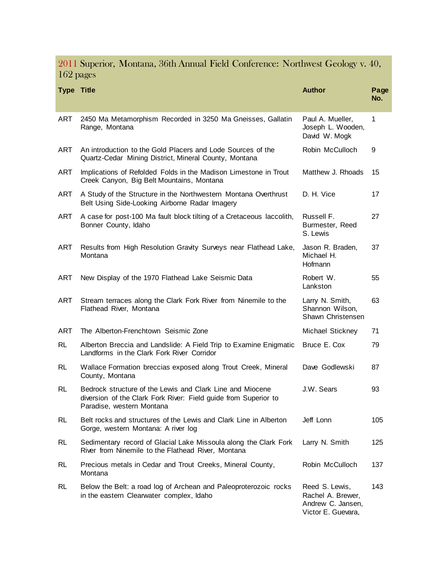2011 Superior, Montana, 36th Annual Field Conference: Northwest Geology v. 40, 162 pages

| <b>Type Title</b> |                                                                                                                                                           | <b>Author</b>                                                                  | Page<br>No. |
|-------------------|-----------------------------------------------------------------------------------------------------------------------------------------------------------|--------------------------------------------------------------------------------|-------------|
| ART               | 2450 Ma Metamorphism Recorded in 3250 Ma Gneisses, Gallatin<br>Range, Montana                                                                             | Paul A. Mueller,<br>Joseph L. Wooden,<br>David W. Mogk                         | 1           |
| ART               | An introduction to the Gold Placers and Lode Sources of the<br>Quartz-Cedar Mining District, Mineral County, Montana                                      | Robin McCulloch                                                                | 9           |
| <b>ART</b>        | Implications of Refolded Folds in the Madison Limestone in Trout<br>Creek Canyon, Big Belt Mountains, Montana                                             | Matthew J. Rhoads                                                              | 15          |
| ART               | A Study of the Structure in the Northwestern Montana Overthrust<br>Belt Using Side-Looking Airborne Radar Imagery                                         | D. H. Vice                                                                     | 17          |
| <b>ART</b>        | A case for post-100 Ma fault block tilting of a Cretaceous laccolith,<br>Bonner County, Idaho                                                             | Russell F.<br>Burmester, Reed<br>S. Lewis                                      | 27          |
| <b>ART</b>        | Results from High Resolution Gravity Surveys near Flathead Lake,<br>Montana                                                                               | Jason R. Braden,<br>Michael H.<br>Hofmann                                      | 37          |
| <b>ART</b>        | New Display of the 1970 Flathead Lake Seismic Data                                                                                                        | Robert W.<br>Lankston                                                          | 55          |
| <b>ART</b>        | Stream terraces along the Clark Fork River from Ninemile to the<br>Flathead River, Montana                                                                | Larry N. Smith,<br>Shannon Wilson,<br>Shawn Christensen                        | 63          |
| <b>ART</b>        | The Alberton-Frenchtown Seismic Zone                                                                                                                      | Michael Stickney                                                               | 71          |
| <b>RL</b>         | Alberton Breccia and Landslide: A Field Trip to Examine Enigmatic<br>Landforms in the Clark Fork River Corridor                                           | Bruce E. Cox                                                                   | 79          |
| RL                | Wallace Formation breccias exposed along Trout Creek, Mineral<br>County, Montana                                                                          | Dave Godlewski                                                                 | 87          |
| RL                | Bedrock structure of the Lewis and Clark Line and Miocene<br>diversion of the Clark Fork River: Field guide from Superior to<br>Paradise, western Montana | J.W. Sears                                                                     | 93          |
| RL.               | Belt rocks and structures of the Lewis and Clark Line in Alberton<br>Gorge, western Montana: A river log                                                  | Jeff Lonn                                                                      | 105         |
| RL.               | Sedimentary record of Glacial Lake Missoula along the Clark Fork<br>River from Ninemile to the Flathead River, Montana                                    | Larry N. Smith                                                                 | 125         |
| RL.               | Precious metals in Cedar and Trout Creeks, Mineral County,<br>Montana                                                                                     | Robin McCulloch                                                                | 137         |
| RL                | Below the Belt: a road log of Archean and Paleoproterozoic rocks<br>in the eastern Clearwater complex, Idaho                                              | Reed S. Lewis,<br>Rachel A. Brewer,<br>Andrew C. Jansen,<br>Victor E. Guevara, | 143         |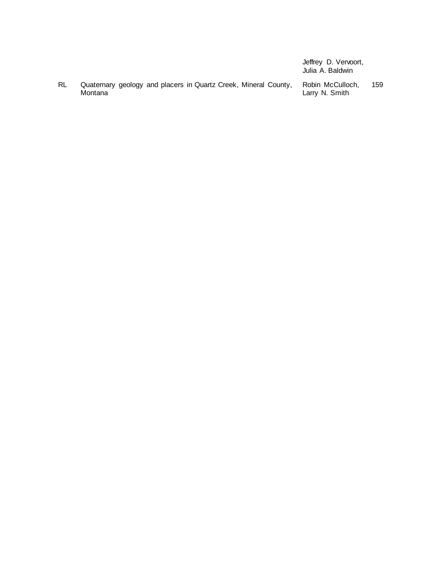|    |         |  |  |                                                                 | Jeffrey D. Vervoort,<br>Julia A. Baldwin |     |
|----|---------|--|--|-----------------------------------------------------------------|------------------------------------------|-----|
| RL | Montana |  |  | Quaternary geology and placers in Quartz Creek, Mineral County, | Robin McCulloch.<br>Larry N. Smith       | 159 |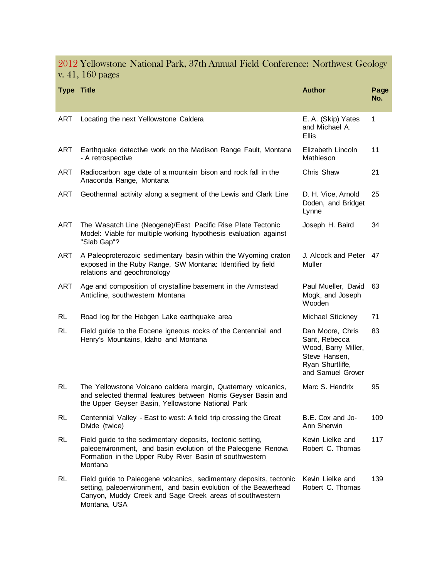### 2012 Yellowstone National Park, 37th Annual Field Conference: Northwest Geology v. 41, 160 pages

| <b>Type Title</b> |                                                                                                                                                                                                                    | <b>Author</b>                                                                                                      | Page<br>No. |
|-------------------|--------------------------------------------------------------------------------------------------------------------------------------------------------------------------------------------------------------------|--------------------------------------------------------------------------------------------------------------------|-------------|
| <b>ART</b>        | Locating the next Yellowstone Caldera                                                                                                                                                                              | E. A. (Skip) Yates<br>and Michael A.<br><b>Ellis</b>                                                               | 1           |
| ART               | Earthquake detective work on the Madison Range Fault, Montana<br>- A retrospective                                                                                                                                 | Elizabeth Lincoln<br>Mathieson                                                                                     | 11          |
| ART               | Radiocarbon age date of a mountain bison and rock fall in the<br>Anaconda Range, Montana                                                                                                                           | Chris Shaw                                                                                                         | 21          |
| ART               | Geothermal activity along a segment of the Lewis and Clark Line                                                                                                                                                    | D. H. Vice, Arnold<br>Doden, and Bridget<br>Lynne                                                                  | 25          |
| ART               | The Wasatch Line (Neogene)/East Pacific Rise Plate Tectonic<br>Model: Viable for multiple working hypothesis evaluation against<br>"Slab Gap"?                                                                     | Joseph H. Baird                                                                                                    | 34          |
| <b>ART</b>        | A Paleoproterozoic sedimentary basin within the Wyoming craton<br>exposed in the Ruby Range, SW Montana: Identified by field<br>relations and geochronology                                                        | J. Alcock and Peter<br>Muller                                                                                      | 47          |
| ART               | Age and composition of crystalline basement in the Armstead<br>Anticline, southwestern Montana                                                                                                                     | Paul Mueller, David<br>Mogk, and Joseph<br>Wooden                                                                  | 63          |
| <b>RL</b>         | Road log for the Hebgen Lake earthquake area                                                                                                                                                                       | Michael Stickney                                                                                                   | 71          |
| <b>RL</b>         | Field guide to the Eocene igneous rocks of the Centennial and<br>Henry's Mountains, Idaho and Montana                                                                                                              | Dan Moore, Chris<br>Sant, Rebecca<br>Wood, Barry Miller,<br>Steve Hansen,<br>Ryan Shurtliffe,<br>and Samuel Grover | 83          |
| RL                | The Yellowstone Volcano caldera margin, Quaternary volcanics,<br>and selected thermal features between Norris Geyser Basin and<br>the Upper Geyser Basin, Yellowstone National Park                                | Marc S. Hendrix                                                                                                    | 95          |
| <b>RL</b>         | Centennial Valley - East to west: A field trip crossing the Great<br>Divide (twice)                                                                                                                                | B.E. Cox and Jo-<br>Ann Sherwin                                                                                    | 109         |
| <b>RL</b>         | Field guide to the sedimentary deposits, tectonic setting,<br>paleoenvironment, and basin evolution of the Paleogene Renova<br>Formation in the Upper Ruby River Basin of southwestern<br>Montana                  | Kevin Lielke and<br>Robert C. Thomas                                                                               | 117         |
| <b>RL</b>         | Field guide to Paleogene volcanics, sedimentary deposits, tectonic<br>setting, paleoenvironment, and basin evolution of the Beaverhead<br>Canyon, Muddy Creek and Sage Creek areas of southwestern<br>Montana, USA | Kevin Lielke and<br>Robert C. Thomas                                                                               | 139         |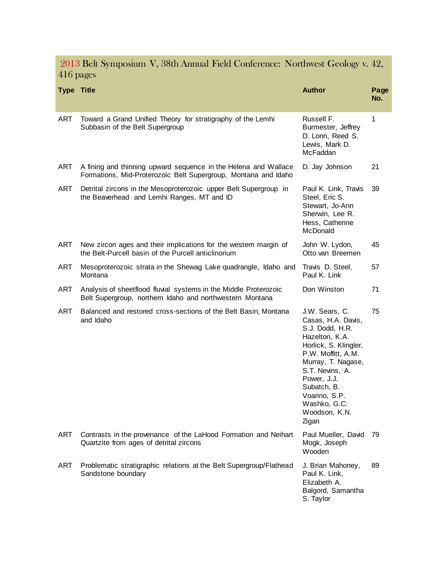2013 Belt Symposium V, 38th Annual Field Conference: Northwest Geology v. 42, 416 pages

| <b>Type Title</b> |                                                                                                                                   | <b>Author</b>                                                                                                                                                                                                                                              | Page<br>No. |
|-------------------|-----------------------------------------------------------------------------------------------------------------------------------|------------------------------------------------------------------------------------------------------------------------------------------------------------------------------------------------------------------------------------------------------------|-------------|
| <b>ART</b>        | Toward a Grand Unified Theory for stratigraphy of the Lemhi<br>Subbasin of the Belt Supergroup                                    | Russell F.<br>Burmester, Jeffrey<br>D. Lonn, Reed S.<br>Lewis, Mark D.<br>McFaddan                                                                                                                                                                         | 1           |
| ART               | A fining and thinning upward sequence in the Helena and Wallace<br>Formations, Mid-Proterozoic Belt Supergroup, Montana and Idaho | D. Jay Johnson                                                                                                                                                                                                                                             | 21          |
| ART               | Detrital zircons in the Mesoproterozoic upper Belt Supergroup in<br>the Beaverhead and Lemhi Ranges, MT and ID                    | Paul K. Link, Travis<br>Steel, Eric S.<br>Stewart, Jo-Ann<br>Sherwin, Lee R.<br>Hess, Catherine<br>McDonald                                                                                                                                                | 39          |
| ART               | New zircon ages and their implications for the western margin of<br>the Belt-Purcell basin of the Purcell anticlinorium           | John W. Lydon,<br>Otto van Breemen                                                                                                                                                                                                                         | 45          |
| ART               | Mesoproterozoic strata in the Shewag Lake quadrangle, Idaho and<br>Montana                                                        | Travis D. Steel,<br>Paul K. Link                                                                                                                                                                                                                           | 57          |
| ART               | Analysis of sheetflood fluvial systems in the Middle Proterozoic<br>Belt Supergroup, northern Idaho and northwestern Montana      | Don Winston                                                                                                                                                                                                                                                | 71          |
| ART               | Balanced and restored cross-sections of the Belt Basin, Montana<br>and Idaho                                                      | J.W. Sears, C.<br>Casas, H.A. Davis,<br>S.J. Dodd, H.R.<br>Hazelton, K.A.<br>Horlick, S. Klingler,<br>P.W. Moffitt, A.M.<br>Murray, T. Nagase,<br>S.T. Nevins, A.<br>Power, J.J.<br>Subatch, B.<br>Voarino, S.P.<br>Washko, G.C.<br>Woodson, K.N.<br>Zigan | 75          |
| ART               | Contrasts in the provenance of the LaHood Formation and Neihart<br>Quartzite from ages of detrital zircons                        | Paul Mueller, David<br>Mogk, Joseph<br>Wooden                                                                                                                                                                                                              | 79          |
| ART               | Problematic stratigraphic relations at the Belt Supergroup/Flathead<br>Sandstone boundary                                         | J. Brian Mahoney,<br>Paul K. Link,<br>Elizabeth A.<br>Balgord, Samantha<br>S. Taylor                                                                                                                                                                       | 89          |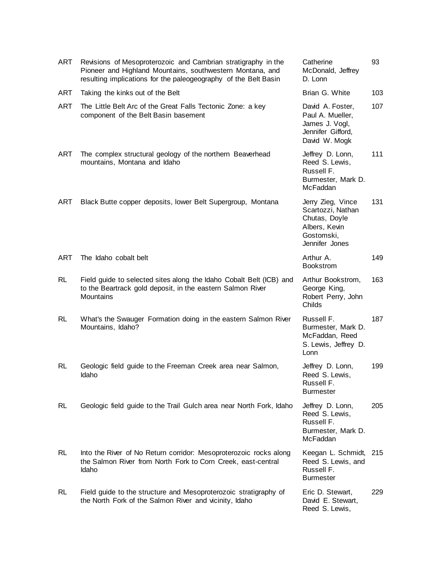| ART        | Revisions of Mesoproterozoic and Cambrian stratigraphy in the<br>Pioneer and Highland Mountains, southwestern Montana, and<br>resulting implications for the paleogeography of the Belt Basin | Catherine<br>McDonald, Jeffrey<br>D. Lonn                                                                | 93  |
|------------|-----------------------------------------------------------------------------------------------------------------------------------------------------------------------------------------------|----------------------------------------------------------------------------------------------------------|-----|
| ART        | Taking the kinks out of the Belt                                                                                                                                                              | Brian G. White                                                                                           | 103 |
| <b>ART</b> | The Little Belt Arc of the Great Falls Tectonic Zone: a key<br>component of the Belt Basin basement                                                                                           | David A. Foster,<br>Paul A. Mueller,<br>James J. Vogl,<br>Jennifer Gifford,<br>David W. Mogk             | 107 |
| ART        | The complex structural geology of the northern Beaverhead<br>mountains, Montana and Idaho                                                                                                     | Jeffrey D. Lonn,<br>Reed S. Lewis,<br>Russell F.<br>Burmester, Mark D.<br>McFaddan                       | 111 |
| <b>ART</b> | Black Butte copper deposits, lower Belt Supergroup, Montana                                                                                                                                   | Jerry Zieg, Vince<br>Scartozzi, Nathan<br>Chutas, Doyle<br>Albers, Kevin<br>Gostomski,<br>Jennifer Jones | 131 |
| <b>ART</b> | The Idaho cobalt belt                                                                                                                                                                         | Arthur A.<br><b>Bookstrom</b>                                                                            | 149 |
| <b>RL</b>  | Field guide to selected sites along the Idaho Cobalt Belt (ICB) and<br>to the Beartrack gold deposit, in the eastern Salmon River<br>Mountains                                                | Arthur Bookstrom,<br>George King,<br>Robert Perry, John<br>Childs                                        | 163 |
| <b>RL</b>  | What's the Swauger Formation doing in the eastern Salmon River<br>Mountains, Idaho?                                                                                                           | Russell F.<br>Burmester, Mark D.<br>McFaddan, Reed<br>S. Lewis, Jeffrey D.<br>Lonn                       | 187 |
| <b>RL</b>  | Geologic field guide to the Freeman Creek area near Salmon,<br>Idaho                                                                                                                          | Jeffrey D. Lonn,<br>Reed S. Lewis,<br>Russell F.<br><b>Burmester</b>                                     | 199 |
| RL         | Geologic field guide to the Trail Gulch area near North Fork, Idaho                                                                                                                           | Jeffrey D. Lonn,<br>Reed S. Lewis,<br>Russell F.<br>Burmester, Mark D.<br>McFaddan                       | 205 |
| RL         | Into the River of No Return corridor: Mesoproterozoic rocks along<br>the Salmon River from North Fork to Corn Creek, east-central<br>Idaho                                                    | Keegan L. Schmidt,<br>Reed S. Lewis, and<br>Russell F.<br><b>Burmester</b>                               | 215 |
| RL         | Field guide to the structure and Mesoproterozoic stratigraphy of<br>the North Fork of the Salmon River and vicinity, Idaho                                                                    | Eric D. Stewart,<br>David E. Stewart,<br>Reed S. Lewis,                                                  | 229 |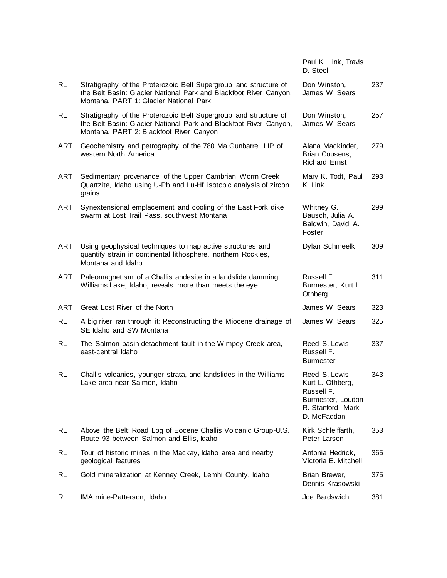|            |                                                                                                                                                                                  | Paul K. Link, Travis<br>D. Steel                                                                          |     |
|------------|----------------------------------------------------------------------------------------------------------------------------------------------------------------------------------|-----------------------------------------------------------------------------------------------------------|-----|
| RL         | Stratigraphy of the Proterozoic Belt Supergroup and structure of<br>the Belt Basin: Glacier National Park and Blackfoot River Canyon,<br>Montana, PART 1: Glacier National Park  | Don Winston,<br>James W. Sears                                                                            | 237 |
| RL         | Stratigraphy of the Proterozoic Belt Supergroup and structure of<br>the Belt Basin: Glacier National Park and Blackfoot River Canyon,<br>Montana. PART 2: Blackfoot River Canyon | Don Winston,<br>James W. Sears                                                                            | 257 |
| ART        | Geochemistry and petrography of the 780 Ma Gunbarrel LIP of<br>western North America                                                                                             | Alana Mackinder,<br>Brian Cousens,<br><b>Richard Ernst</b>                                                | 279 |
| ART        | Sedimentary provenance of the Upper Cambrian Worm Creek<br>Quartzite, Idaho using U-Pb and Lu-Hf isotopic analysis of zircon<br>grains                                           | Mary K. Todt, Paul<br>K. Link                                                                             | 293 |
| ART        | Synextensional emplacement and cooling of the East Fork dike<br>swarm at Lost Trail Pass, southwest Montana                                                                      | Whitney G.<br>Bausch, Julia A.<br>Baldwin, David A.<br>Foster                                             | 299 |
| <b>ART</b> | Using geophysical techniques to map active structures and<br>quantify strain in continental lithosphere, northern Rockies,<br>Montana and Idaho                                  | Dylan Schmeelk                                                                                            | 309 |
| ART        | Paleomagnetism of a Challis andesite in a landslide damming<br>Williams Lake, Idaho, reveals more than meets the eye                                                             | Russell F.<br>Burmester, Kurt L.<br>Othberg                                                               | 311 |
| <b>ART</b> | Great Lost River of the North                                                                                                                                                    | James W. Sears                                                                                            | 323 |
| RL         | A big river ran through it: Reconstructing the Miocene drainage of<br>SE Idaho and SW Montana                                                                                    | James W. Sears                                                                                            | 325 |
| RL         | The Salmon basin detachment fault in the Wimpey Creek area,<br>east-central Idaho                                                                                                | Reed S. Lewis,<br>Russell F.<br><b>Burmester</b>                                                          | 337 |
| RL         | Challis volcanics, younger strata, and landslides in the Williams<br>Lake area near Salmon, Idaho                                                                                | Reed S. Lewis,<br>Kurt L. Othberg,<br>Russell F.<br>Burmester, Loudon<br>R. Stanford, Mark<br>D. McFaddan | 343 |
| RL         | Above the Belt: Road Log of Eocene Challis Volcanic Group-U.S.<br>Route 93 between Salmon and Ellis, Idaho                                                                       | Kirk Schleiffarth,<br>Peter Larson                                                                        | 353 |
| RL.        | Tour of historic mines in the Mackay, Idaho area and nearby<br>geological features                                                                                               | Antonia Hedrick,<br>Victoria E. Mitchell                                                                  | 365 |
| <b>RL</b>  | Gold mineralization at Kenney Creek, Lemhi County, Idaho                                                                                                                         | Brian Brewer,<br>Dennis Krasowski                                                                         | 375 |
| RL         | IMA mine-Patterson, Idaho                                                                                                                                                        | Joe Bardswich                                                                                             | 381 |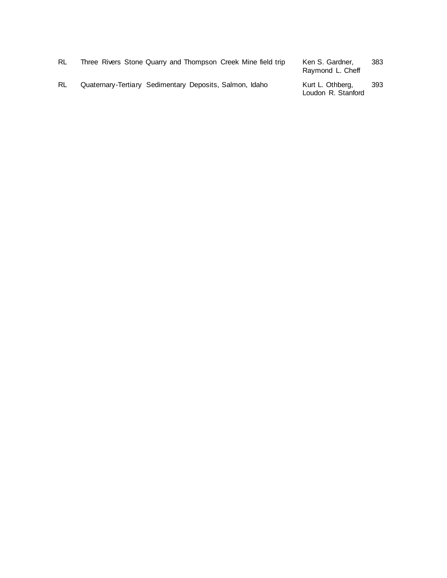| RL | Three Rivers Stone Quarry and Thompson Creek Mine field trip | Ken S. Gardner,<br>Raymond L. Cheff    | 383 |
|----|--------------------------------------------------------------|----------------------------------------|-----|
| RL | Quaternary-Tertiary Sedimentary Deposits, Salmon, Idaho      | Kurt L. Othberg,<br>Loudon R. Stanford | 393 |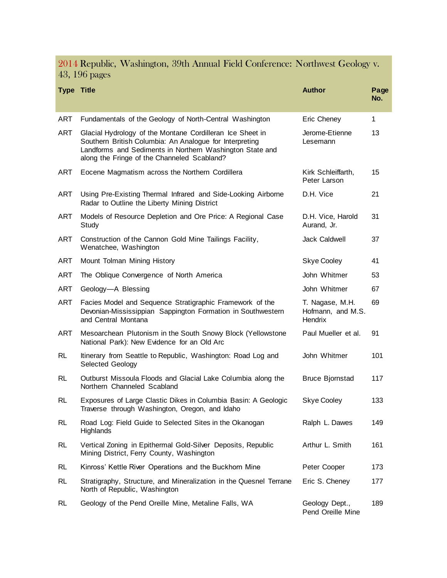2014 Republic, Washington, 39th Annual Field Conference: Northwest Geology v. 43, 196 pages

| <b>Type Title</b> |                                                                                                                                                                                                                                 | <b>Author</b>                                          | Page<br>No. |
|-------------------|---------------------------------------------------------------------------------------------------------------------------------------------------------------------------------------------------------------------------------|--------------------------------------------------------|-------------|
| ART               | Fundamentals of the Geology of North-Central Washington                                                                                                                                                                         | Eric Cheney                                            | 1           |
| ART               | Glacial Hydrology of the Montane Cordilleran Ice Sheet in<br>Southern British Columbia: An Analogue for Interpreting<br>Landforms and Sediments in Northern Washington State and<br>along the Fringe of the Channeled Scabland? | Jerome-Etienne<br>Lesemann                             | 13          |
| ART               | Eocene Magmatism across the Northern Cordillera                                                                                                                                                                                 | Kirk Schleiffarth,<br>Peter Larson                     | 15          |
| ART               | Using Pre-Existing Thermal Infrared and Side-Looking Airborne<br>Radar to Outline the Liberty Mining District                                                                                                                   | D.H. Vice                                              | 21          |
| ART               | Models of Resource Depletion and Ore Price: A Regional Case<br>Study                                                                                                                                                            | D.H. Vice, Harold<br>Aurand, Jr.                       | 31          |
| ART               | Construction of the Cannon Gold Mine Tailings Facility,<br>Wenatchee, Washington                                                                                                                                                | Jack Caldwell                                          | 37          |
| <b>ART</b>        | Mount Tolman Mining History                                                                                                                                                                                                     | Skye Cooley                                            | 41          |
| ART               | The Oblique Convergence of North America                                                                                                                                                                                        | John Whitmer                                           | 53          |
| ART               | Geology-A Blessing                                                                                                                                                                                                              | John Whitmer                                           | 67          |
| ART               | Facies Model and Sequence Stratigraphic Framework of the<br>Devonian-Mississippian Sappington Formation in Southwestern<br>and Central Montana                                                                                  | T. Nagase, M.H.<br>Hofmann, and M.S.<br><b>Hendrix</b> | 69          |
| ART               | Mesoarchean Plutonism in the South Snowy Block (Yellowstone<br>National Park): New Evidence for an Old Arc                                                                                                                      | Paul Mueller et al.                                    | 91          |
| RL                | Itinerary from Seattle to Republic, Washington: Road Log and<br>Selected Geology                                                                                                                                                | John Whitmer                                           | 101         |
| RL                | Outburst Missoula Floods and Glacial Lake Columbia along the<br>Northern Channeled Scabland                                                                                                                                     | <b>Bruce Bjornstad</b>                                 | 117         |
| RL                | Exposures of Large Clastic Dikes in Columbia Basin: A Geologic<br>Traverse through Washington, Oregon, and Idaho                                                                                                                | <b>Skye Cooley</b>                                     | 133         |
| RL                | Road Log: Field Guide to Selected Sites in the Okanogan<br>Highlands                                                                                                                                                            | Ralph L. Dawes                                         | 149         |
| <b>RL</b>         | Vertical Zoning in Epithermal Gold-Silver Deposits, Republic<br>Mining District, Ferry County, Washington                                                                                                                       | Arthur L. Smith                                        | 161         |
| <b>RL</b>         | Kinross' Kettle River Operations and the Buckhorn Mine                                                                                                                                                                          | Peter Cooper                                           | 173         |
| <b>RL</b>         | Stratigraphy, Structure, and Mineralization in the Quesnel Terrane<br>North of Republic, Washington                                                                                                                             | Eric S. Cheney                                         | 177         |
| <b>RL</b>         | Geology of the Pend Oreille Mine, Metaline Falls, WA                                                                                                                                                                            | Geology Dept.,<br>Pend Oreille Mine                    | 189         |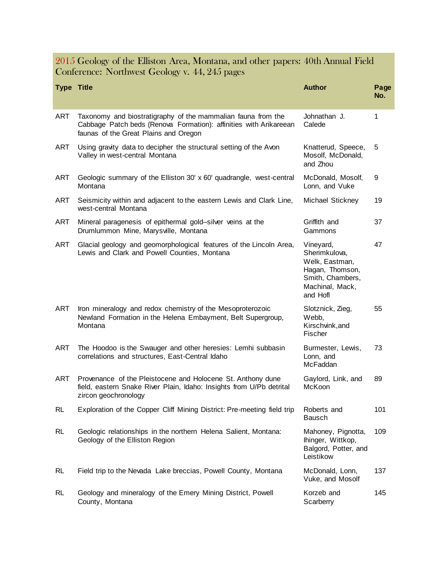2015 Geology of the Elliston Area, Montana, and other papers: 40th Annual Field Conference: Northwest Geology v. 44, 245 pages

| <b>Type Title</b> |                                                                                                                                                                            | <b>Author</b>                                                                                                      | Page<br>No. |
|-------------------|----------------------------------------------------------------------------------------------------------------------------------------------------------------------------|--------------------------------------------------------------------------------------------------------------------|-------------|
| <b>ART</b>        | Taxonomy and biostratigraphy of the mammalian fauna from the<br>Cabbage Patch beds (Renova Formation): affinities with Arikareean<br>faunas of the Great Plains and Oregon | Johnathan J.<br>Calede                                                                                             | 1           |
| ART               | Using gravity data to decipher the structural setting of the Avon<br>Valley in west-central Montana                                                                        | Knatterud, Speece,<br>Mosolf, McDonald,<br>and Zhou                                                                | 5           |
| <b>ART</b>        | Geologic summary of the Elliston 30' x 60' quadrangle, west-central<br>Montana                                                                                             | McDonald, Mosolf,<br>Lonn, and Vuke                                                                                | 9           |
| ART               | Seismicity within and adjacent to the eastern Lewis and Clark Line,<br>west-central Montana                                                                                | Michael Stickney                                                                                                   | 19          |
| <b>ART</b>        | Mineral paragenesis of epithermal gold-silver veins at the<br>Drumlummon Mine, Marysville, Montana                                                                         | Griffith and<br>Gammons                                                                                            | 37          |
| <b>ART</b>        | Glacial geology and geomorphological features of the Lincoln Area,<br>Lewis and Clark and Powell Counties, Montana                                                         | Vineyard,<br>Sherimkulova,<br>Welk, Eastman,<br>Hagan, Thomson,<br>Smith, Chambers,<br>Machinal, Mack,<br>and Hofl | 47          |
| ART               | Iron mineralogy and redox chemistry of the Mesoproterozoic<br>Newland Formation in the Helena Embayment, Belt Supergroup,<br>Montana                                       | Slotznick, Zieg,<br>Webb,<br>Kirschvink, and<br>Fischer                                                            | 55          |
| <b>ART</b>        | The Hoodoo is the Swauger and other heresies: Lemhi subbasin<br>correlations and structures, East-Central Idaho                                                            | Burmester, Lewis,<br>Lonn, and<br>McFaddan                                                                         | 73          |
| ART               | Provenance of the Pleistocene and Holocene St. Anthony dune<br>field, eastern Snake River Plain, Idaho: Insights from U/Pb detrital<br>zircon geochronology                | Gaylord, Link, and<br>McKoon                                                                                       | 89          |
| <b>RL</b>         | Exploration of the Copper Cliff Mining District: Pre-meeting field trip                                                                                                    | Roberts and<br><b>Bausch</b>                                                                                       | 101         |
| <b>RL</b>         | Geologic relationships in the northern Helena Salient, Montana:<br>Geology of the Elliston Region                                                                          | Mahoney, Pignotta,<br>Ihinger, Wittkop,<br>Balgord, Potter, and<br>Leistikow                                       | 109         |
| <b>RL</b>         | Field trip to the Nevada Lake breccias, Powell County, Montana                                                                                                             | McDonald, Lonn,<br>Vuke, and Mosolf                                                                                | 137         |
| <b>RL</b>         | Geology and mineralogy of the Emery Mining District, Powell<br>County, Montana                                                                                             | Korzeb and<br>Scarberry                                                                                            | 145         |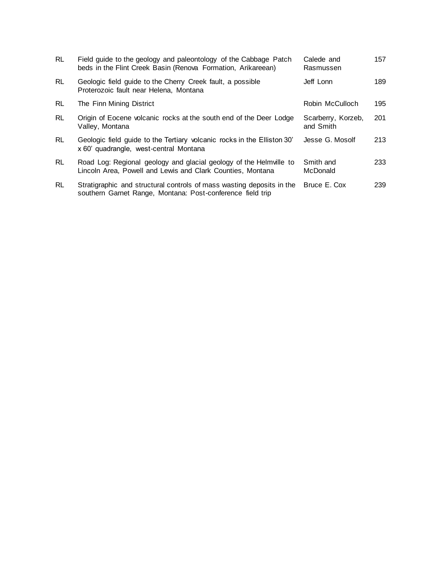| <b>RL</b> | Field guide to the geology and paleontology of the Cabbage Patch<br>beds in the Flint Creek Basin (Renova Formation, Arikareean)    | Calede and<br>Rasmussen         | 157 |
|-----------|-------------------------------------------------------------------------------------------------------------------------------------|---------------------------------|-----|
| <b>RL</b> | Geologic field guide to the Cherry Creek fault, a possible<br>Proterozoic fault near Helena, Montana                                | Jeff Lonn                       | 189 |
| RL        | The Finn Mining District                                                                                                            | Robin McCulloch                 | 195 |
| <b>RL</b> | Origin of Eocene volcanic rocks at the south end of the Deer Lodge<br>Valley, Montana                                               | Scarberry, Korzeb,<br>and Smith | 201 |
| <b>RL</b> | Geologic field guide to the Tertiary volcanic rocks in the Elliston 30'<br>x 60' quadrangle, west-central Montana                   | Jesse G. Mosolf                 | 213 |
| RL        | Road Log: Regional geology and glacial geology of the Helmville to<br>Lincoln Area, Powell and Lewis and Clark Counties, Montana    | Smith and<br><b>McDonald</b>    | 233 |
| <b>RL</b> | Stratigraphic and structural controls of mass wasting deposits in the<br>southern Garnet Range, Montana: Post-conference field trip | Bruce E. Cox                    | 239 |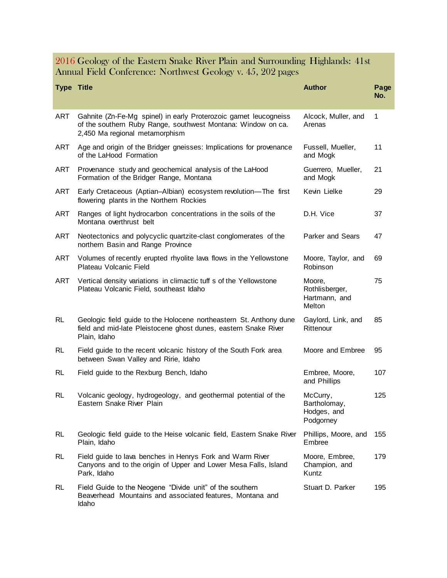2016 Geology of the Eastern Snake River Plain and Surrounding Highlands: 41st Annual Field Conference: Northwest Geology v. 45, 202 pages

| <b>Type Title</b> |                                                                                                                                                                     | <b>Author</b>                                        | Page<br>No.  |
|-------------------|---------------------------------------------------------------------------------------------------------------------------------------------------------------------|------------------------------------------------------|--------------|
| <b>ART</b>        | Gahnite (Zn-Fe-Mg spinel) in early Proterozoic garnet leucogneiss<br>of the southern Ruby Range, southwest Montana: Window on ca.<br>2,450 Ma regional metamorphism | Alcock, Muller, and<br>Arenas                        | $\mathbf{1}$ |
| ART               | Age and origin of the Bridger gneisses: Implications for provenance<br>of the LaHood Formation                                                                      | Fussell, Mueller,<br>and Mogk                        | 11           |
| ART               | Provenance study and geochemical analysis of the LaHood<br>Formation of the Bridger Range, Montana                                                                  | Guerrero, Mueller,<br>and Mogk                       | 21           |
| ART               | Early Cretaceous (Aptian-Albian) ecosystem revolution-The first<br>flowering plants in the Northern Rockies                                                         | Kevin Lielke                                         | 29           |
| ART               | Ranges of light hydrocarbon concentrations in the soils of the<br>Montana overthrust belt                                                                           | D.H. Vice                                            | 37           |
| ART               | Neotectonics and polycyclic quartzite-clast conglomerates of the<br>northern Basin and Range Province                                                               | <b>Parker and Sears</b>                              | 47           |
| ART               | Volumes of recently erupted rhyolite lava flows in the Yellowstone<br>Plateau Volcanic Field                                                                        | Moore, Taylor, and<br>Robinson                       | 69           |
| ART               | Vertical density variations in climactic tuff s of the Yellowstone<br>Plateau Volcanic Field, southeast Idaho                                                       | Moore,<br>Rothlisberger,<br>Hartmann, and<br>Melton  | 75           |
| <b>RL</b>         | Geologic field guide to the Holocene northeastern St. Anthony dune<br>field and mid-late Pleistocene ghost dunes, eastern Snake River<br>Plain, Idaho               | Gaylord, Link, and<br>Rittenour                      | 85           |
| <b>RL</b>         | Field guide to the recent volcanic history of the South Fork area<br>between Swan Valley and Ririe, Idaho                                                           | Moore and Embree                                     | 95           |
| RL.               | Field guide to the Rexburg Bench, Idaho                                                                                                                             | Embree, Moore,<br>and Phillips                       | 107          |
| <b>RL</b>         | Volcanic geology, hydrogeology, and geothermal potential of the<br>Eastern Snake River Plain                                                                        | McCurry,<br>Bartholomay,<br>Hodges, and<br>Podgorney | 125          |
| <b>RL</b>         | Geologic field guide to the Heise volcanic field, Eastern Snake River<br>Plain, Idaho                                                                               | Phillips, Moore, and<br>Embree                       | 155          |
| <b>RL</b>         | Field guide to lava benches in Henrys Fork and Warm River<br>Canyons and to the origin of Upper and Lower Mesa Falls, Island<br>Park, Idaho                         | Moore, Embree,<br>Champion, and<br>Kuntz             | 179          |
| <b>RL</b>         | Field Guide to the Neogene "Divide unit" of the southern<br>Beaverhead Mountains and associated features, Montana and<br>Idaho                                      | Stuart D. Parker                                     | 195          |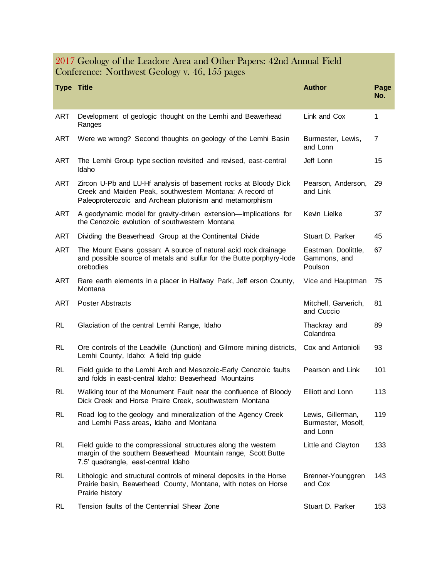#### 2017 Geology of the Leadore Area and Other Papers: 42nd Annual Field Conference: Northwest Geology v. 46, 155 pages

| <b>Type Title</b> |                                                                                                                                                                                        | <b>Author</b>                                       | Page<br>No.    |
|-------------------|----------------------------------------------------------------------------------------------------------------------------------------------------------------------------------------|-----------------------------------------------------|----------------|
| <b>ART</b>        | Development of geologic thought on the Lemhi and Beaverhead<br>Ranges                                                                                                                  | Link and Cox                                        | 1              |
| ART               | Were we wrong? Second thoughts on geology of the Lemhi Basin                                                                                                                           | Burmester, Lewis,<br>and Lonn                       | $\overline{7}$ |
| ART               | The Lemhi Group type section revisited and revised, east-central<br>Idaho                                                                                                              | Jeff Lonn                                           | 15             |
| ART               | Zircon U-Pb and LU-Hf analysis of basement rocks at Bloody Dick<br>Creek and Maiden Peak, southwestern Montana: A record of<br>Paleoproterozoic and Archean plutonism and metamorphism | Pearson, Anderson,<br>and Link                      | 29             |
| <b>ART</b>        | A geodynamic model for gravity-driven extension-Implications for<br>the Cenozoic evolution of southwestern Montana                                                                     | Kevin Lielke                                        | 37             |
| ART               | Dividing the Beaverhead Group at the Continental Divide                                                                                                                                | Stuart D. Parker                                    | 45             |
| <b>ART</b>        | The Mount Evans gossan: A source of natural acid rock drainage<br>and possible source of metals and sulfur for the Butte porphyry-lode<br>orebodies                                    | Eastman, Doolittle,<br>Gammons, and<br>Poulson      | 67             |
| ART               | Rare earth elements in a placer in Halfway Park, Jeff erson County,<br>Montana                                                                                                         | Vice and Hauptman                                   | 75             |
| ART               | <b>Poster Abstracts</b>                                                                                                                                                                | Mitchell, Garverich,<br>and Cuccio                  | 81             |
| RL                | Glaciation of the central Lemhi Range, Idaho                                                                                                                                           | Thackray and<br>Colandrea                           | 89             |
| RL                | Ore controls of the Leadville (Junction) and Gilmore mining districts,<br>Lemhi County, Idaho: A field trip guide                                                                      | Cox and Antonioli                                   | 93             |
| RL                | Field guide to the Lemhi Arch and Mesozoic-Early Cenozoic faults<br>and folds in east-central Idaho: Beaverhead Mountains                                                              | Pearson and Link                                    | 101            |
| RL                | Walking tour of the Monument Fault near the confluence of Bloody<br>Dick Creek and Horse Praire Creek, southwestern Montana                                                            | Elliott and Lonn                                    | 113            |
| <b>RL</b>         | Road log to the geology and mineralization of the Agency Creek<br>and Lemhi Pass areas, Idaho and Montana                                                                              | Lewis, Gillerman,<br>Burmester, Mosolf,<br>and Lonn | 119            |
| <b>RL</b>         | Field guide to the compressional structures along the western<br>margin of the southern Beaverhead Mountain range, Scott Butte<br>7.5' quadrangle, east-central Idaho                  | Little and Clayton                                  | 133            |
| <b>RL</b>         | Lithologic and structural controls of mineral deposits in the Horse<br>Prairie basin, Beaverhead County, Montana, with notes on Horse<br>Prairie history                               | Brenner-Younggren<br>and Cox                        | 143            |
| <b>RL</b>         | Tension faults of the Centennial Shear Zone                                                                                                                                            | Stuart D. Parker                                    | 153            |